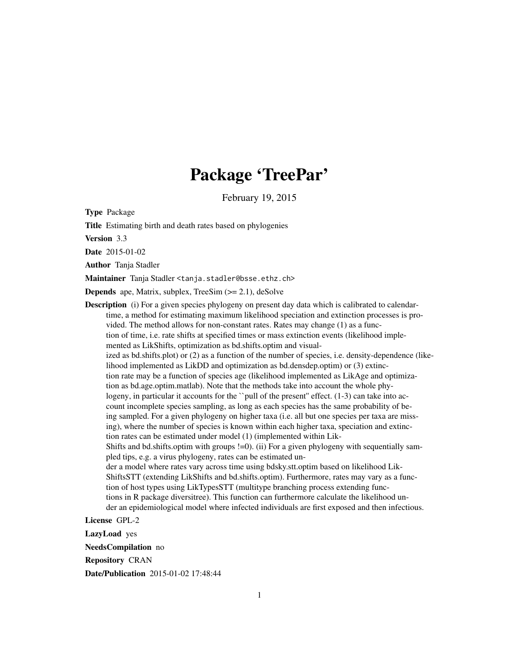## Package 'TreePar'

February 19, 2015

Type Package

Title Estimating birth and death rates based on phylogenies

Version 3.3

Date 2015-01-02

Author Tanja Stadler

Maintainer Tanja Stadler <tanja.stadler@bsse.ethz.ch>

**Depends** ape, Matrix, subplex, TreeSim  $(>= 2.1)$ , deSolve

**Description** (i) For a given species phylogeny on present day data which is calibrated to calendartime, a method for estimating maximum likelihood speciation and extinction processes is provided. The method allows for non-constant rates. Rates may change (1) as a function of time, i.e. rate shifts at specified times or mass extinction events (likelihood implemented as LikShifts, optimization as bd.shifts.optim and visualized as bd.shifts.plot) or (2) as a function of the number of species, i.e. density-dependence (likelihood implemented as LikDD and optimization as bd.densdep.optim) or (3) extinction rate may be a function of species age (likelihood implemented as LikAge and optimization as bd.age.optim.matlab). Note that the methods take into account the whole phylogeny, in particular it accounts for the ``pull of the present" effect. (1-3) can take into account incomplete species sampling, as long as each species has the same probability of being sampled. For a given phylogeny on higher taxa (i.e. all but one species per taxa are missing), where the number of species is known within each higher taxa, speciation and extinction rates can be estimated under model (1) (implemented within Lik-Shifts and bd.shifts.optim with groups !=0). (ii) For a given phylogeny with sequentially sampled tips, e.g. a virus phylogeny, rates can be estimated under a model where rates vary across time using bdsky.stt.optim based on likelihood Lik-ShiftsSTT (extending LikShifts and bd.shifts.optim). Furthermore, rates may vary as a function of host types using LikTypesSTT (multitype branching process extending functions in R package diversitree). This function can furthermore calculate the likelihood under an epidemiological model where infected individuals are first exposed and then infectious.

License GPL-2

LazyLoad yes

NeedsCompilation no

Repository CRAN

Date/Publication 2015-01-02 17:48:44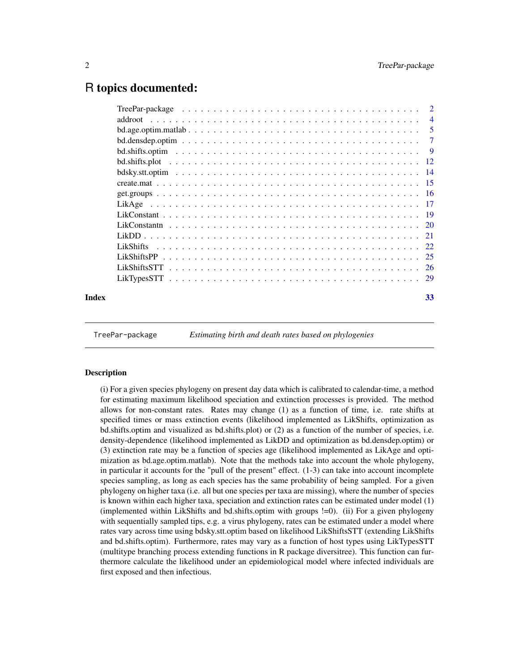### <span id="page-1-0"></span>R topics documented:

| 33 |
|----|
|    |

TreePar-package *Estimating birth and death rates based on phylogenies*

#### Description

(i) For a given species phylogeny on present day data which is calibrated to calendar-time, a method for estimating maximum likelihood speciation and extinction processes is provided. The method allows for non-constant rates. Rates may change (1) as a function of time, i.e. rate shifts at specified times or mass extinction events (likelihood implemented as LikShifts, optimization as bd.shifts.optim and visualized as bd.shifts.plot) or (2) as a function of the number of species, i.e. density-dependence (likelihood implemented as LikDD and optimization as bd.densdep.optim) or (3) extinction rate may be a function of species age (likelihood implemented as LikAge and optimization as bd.age.optim.matlab). Note that the methods take into account the whole phylogeny, in particular it accounts for the "pull of the present" effect. (1-3) can take into account incomplete species sampling, as long as each species has the same probability of being sampled. For a given phylogeny on higher taxa (i.e. all but one species per taxa are missing), where the number of species is known within each higher taxa, speciation and extinction rates can be estimated under model (1) (implemented within LikShifts and bd.shifts.optim with groups !=0). (ii) For a given phylogeny with sequentially sampled tips, e.g. a virus phylogeny, rates can be estimated under a model where rates vary across time using bdsky.stt.optim based on likelihood LikShiftsSTT (extending LikShifts and bd.shifts.optim). Furthermore, rates may vary as a function of host types using LikTypesSTT (multitype branching process extending functions in R package diversitree). This function can furthermore calculate the likelihood under an epidemiological model where infected individuals are first exposed and then infectious.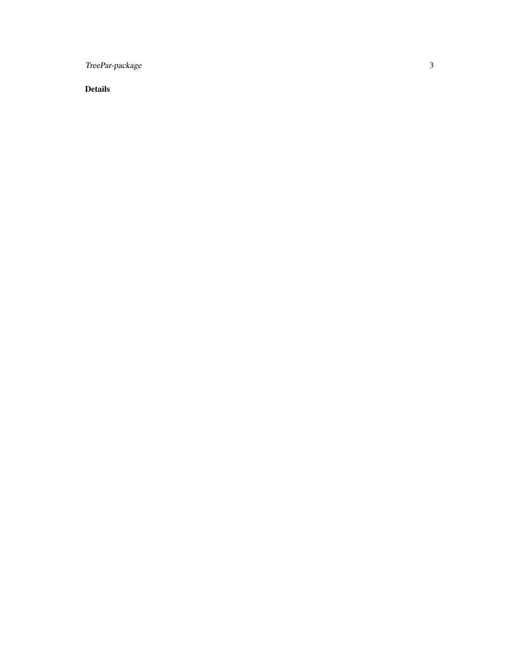TreePar-package

Details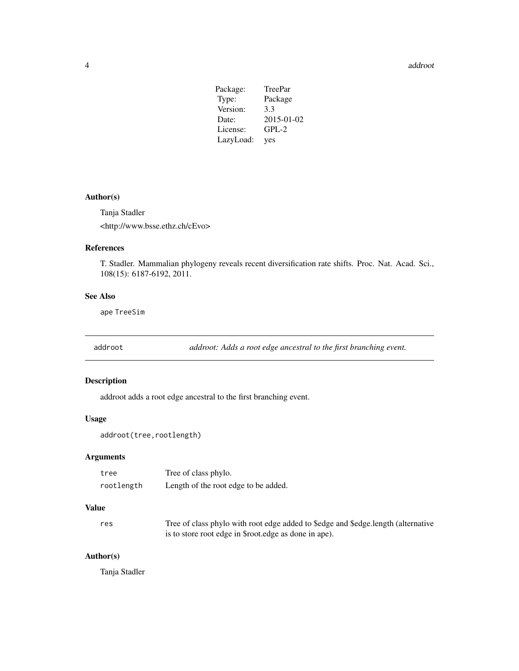<span id="page-3-0"></span>4 addroot and the contract of the contract of the contract of the contract of the contract of the contract of the contract of the contract of the contract of the contract of the contract of the contract of the contract of

| Package:  | TreePar    |
|-----------|------------|
| Type:     | Package    |
| Version:  | 3.3        |
| Date:     | 2015-01-02 |
| License:  | $GPL-2$    |
| LazyLoad: | yes        |

#### Author(s)

Tanja Stadler <http://www.bsse.ethz.ch/cEvo>

#### References

T. Stadler. Mammalian phylogeny reveals recent diversification rate shifts. Proc. Nat. Acad. Sci., 108(15): 6187-6192, 2011.

#### See Also

ape TreeSim

addroot *addroot: Adds a root edge ancestral to the first branching event.*

#### Description

addroot adds a root edge ancestral to the first branching event.

#### Usage

addroot(tree, rootlength)

#### Arguments

| tree       | Tree of class phylo.                 |
|------------|--------------------------------------|
| rootlength | Length of the root edge to be added. |

#### Value

| res | Tree of class phylo with root edge added to \$edge and \$edge.length (alternative |
|-----|-----------------------------------------------------------------------------------|
|     | is to store root edge in \$root. edge as done in ape).                            |

### Author(s)

Tanja Stadler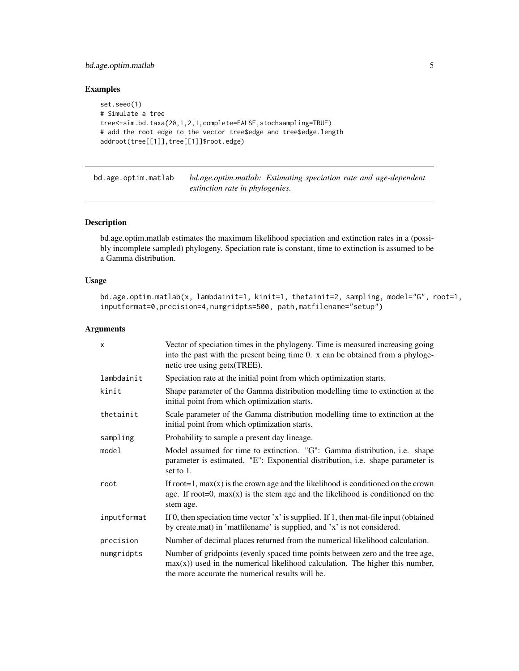#### <span id="page-4-0"></span>bd.age.optim.matlab 5

#### Examples

```
set.seed(1)
# Simulate a tree
tree<-sim.bd.taxa(20,1,2,1,complete=FALSE,stochsampling=TRUE)
# add the root edge to the vector tree$edge and tree$edge.length
addroot(tree[[1]],tree[[1]]$root.edge)
```
bd.age.optim.matlab *bd.age.optim.matlab: Estimating speciation rate and age-dependent extinction rate in phylogenies.*

#### Description

bd.age.optim.matlab estimates the maximum likelihood speciation and extinction rates in a (possibly incomplete sampled) phylogeny. Speciation rate is constant, time to extinction is assumed to be a Gamma distribution.

#### Usage

```
bd.age.optim.matlab(x, lambdainit=1, kinit=1, thetainit=2, sampling, model="G", root=1,
inputformat=0,precision=4,numgridpts=500, path,matfilename="setup")
```

| X           | Vector of speciation times in the phylogeny. Time is measured increasing going<br>into the past with the present being time 0. x can be obtained from a phyloge-<br>netic tree using getx (TREE).                      |
|-------------|------------------------------------------------------------------------------------------------------------------------------------------------------------------------------------------------------------------------|
| lambdainit  | Speciation rate at the initial point from which optimization starts.                                                                                                                                                   |
| kinit       | Shape parameter of the Gamma distribution modelling time to extinction at the<br>initial point from which optimization starts.                                                                                         |
| thetainit   | Scale parameter of the Gamma distribution modelling time to extinction at the<br>initial point from which optimization starts.                                                                                         |
| sampling    | Probability to sample a present day lineage.                                                                                                                                                                           |
| model       | Model assumed for time to extinction. "G": Gamma distribution, i.e. shape<br>parameter is estimated. "E": Exponential distribution, i.e. shape parameter is<br>set to 1.                                               |
| root        | If root=1, $max(x)$ is the crown age and the likelihood is conditioned on the crown<br>age. If root=0, $max(x)$ is the stem age and the likelihood is conditioned on the<br>stem age.                                  |
| inputformat | If 0, then speciation time vector 'x' is supplied. If 1, then mat-file input (obtained<br>by create.mat) in 'matfilename' is supplied, and 'x' is not considered.                                                      |
| precision   | Number of decimal places returned from the numerical likelihood calculation.                                                                                                                                           |
| numgridpts  | Number of gridpoints (evenly spaced time points between zero and the tree age,<br>$max(x)$ ) used in the numerical likelihood calculation. The higher this number,<br>the more accurate the numerical results will be. |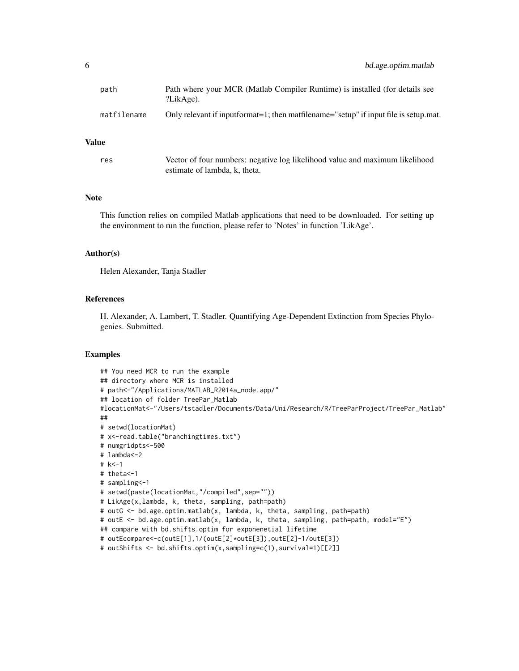#### Value

res Vector of four numbers: negative log likelihood value and maximum likelihood estimate of lambda, k, theta.

#### Note

This function relies on compiled Matlab applications that need to be downloaded. For setting up the environment to run the function, please refer to 'Notes' in function 'LikAge'.

#### Author(s)

Helen Alexander, Tanja Stadler

#### References

H. Alexander, A. Lambert, T. Stadler. Quantifying Age-Dependent Extinction from Species Phylogenies. Submitted.

#### Examples

```
## You need MCR to run the example
## directory where MCR is installed
# path<-"/Applications/MATLAB_R2014a_node.app/"
## location of folder TreePar_Matlab
#locationMat<-"/Users/tstadler/Documents/Data/Uni/Research/R/TreeParProject/TreePar_Matlab"
##
# setwd(locationMat)
# x<-read.table("branchingtimes.txt")
# numgridpts<-500
# lambda<-2
# k<-1
# theta<-1
# sampling<-1
# setwd(paste(locationMat,"/compiled",sep=""))
# LikAge(x,lambda, k, theta, sampling, path=path)
# outG <- bd.age.optim.matlab(x, lambda, k, theta, sampling, path=path)
# outE <- bd.age.optim.matlab(x, lambda, k, theta, sampling, path=path, model="E")
## compare with bd.shifts.optim for exponenetial lifetime
# outEcompare<-c(outE[1],1/(outE[2]*outE[3]),outE[2]-1/outE[3])
# outShifts <- bd.shifts.optim(x,sampling=c(1),survival=1)[[2]]
```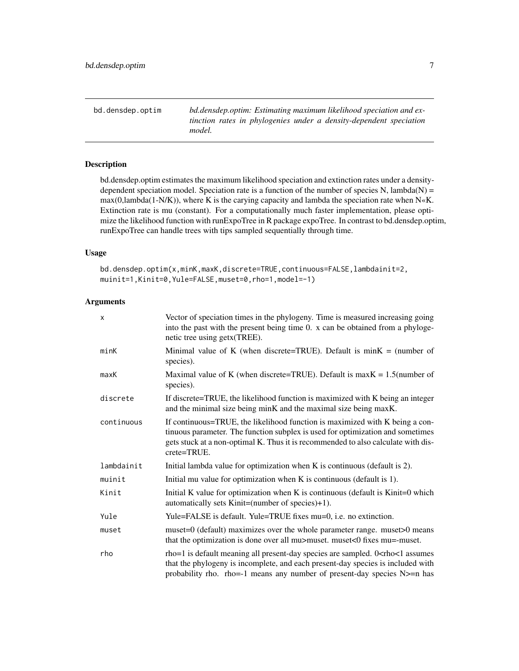<span id="page-6-0"></span>bd.densdep.optim *bd.densdep.optim: Estimating maximum likelihood speciation and extinction rates in phylogenies under a density-dependent speciation model.*

#### Description

bd.densdep.optim estimates the maximum likelihood speciation and extinction rates under a densitydependent speciation model. Speciation rate is a function of the number of species  $N$ , lambda $(N)$  =  $max(0, lambda(1-N/K))$ , where K is the carying capacity and lambda the speciation rate when N«K. Extinction rate is mu (constant). For a computationally much faster implementation, please optimize the likelihood function with runExpoTree in R package expoTree. In contrast to bd.densdep.optim, runExpoTree can handle trees with tips sampled sequentially through time.

#### Usage

bd.densdep.optim(x,minK,maxK,discrete=TRUE,continuous=FALSE,lambdainit=2, muinit=1,Kinit=0,Yule=FALSE,muset=0,rho=1,model=-1)

| $\mathsf{x}$ | Vector of speciation times in the phylogeny. Time is measured increasing going<br>into the past with the present being time 0. x can be obtained from a phyloge-<br>netic tree using getx(TREE).                                                                          |
|--------------|---------------------------------------------------------------------------------------------------------------------------------------------------------------------------------------------------------------------------------------------------------------------------|
| minK         | Minimal value of K (when discrete=TRUE). Default is $minK = (number of$<br>species).                                                                                                                                                                                      |
| maxK         | Maximal value of K (when discrete=TRUE). Default is max $K = 1.5$ (number of<br>species).                                                                                                                                                                                 |
| discrete     | If discrete=TRUE, the likelihood function is maximized with K being an integer<br>and the minimal size being minK and the maximal size being maxK.                                                                                                                        |
| continuous   | If continuous=TRUE, the likelihood function is maximized with K being a con-<br>tinuous parameter. The function subplex is used for optimization and sometimes<br>gets stuck at a non-optimal K. Thus it is recommended to also calculate with dis-<br>crete=TRUE.        |
| lambdainit   | Initial lambda value for optimization when K is continuous (default is 2).                                                                                                                                                                                                |
| muinit       | Initial mu value for optimization when $K$ is continuous (default is 1).                                                                                                                                                                                                  |
| Kinit        | Initial K value for optimization when K is continuous (default is Kinit=0 which<br>automatically sets Kinit=(number of species)+1).                                                                                                                                       |
| Yule         | Yule=FALSE is default. Yule=TRUE fixes mu=0, i.e. no extinction.                                                                                                                                                                                                          |
| muset        | muset=0 (default) maximizes over the whole parameter range. muset>0 means<br>that the optimization is done over all mu>muset. muset<0 fixes mu=-muset.                                                                                                                    |
| rho          | rho=1 is default meaning all present-day species are sampled. 0 <rho<1 assumes<br="">that the phylogeny is incomplete, and each present-day species is included with<br/>probability rho. rho=-1 means any number of present-day species <math>N</math>&gt;=n has</rho<1> |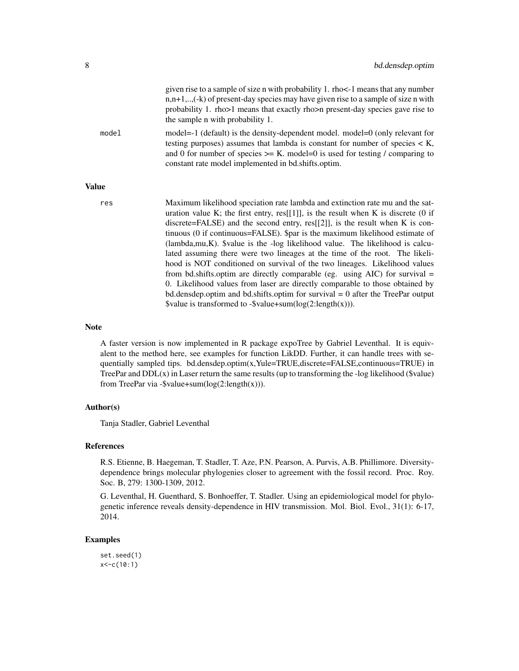|              | given rise to a sample of size n with probability 1. rho<-1 means that any number<br>$n, n+1, \ldots$ (-k) of present-day species may have given rise to a sample of size n with<br>probability 1. rho>1 means that exactly rho>n present-day species gave rise to<br>the sample n with probability 1.                                                                                                                                                                                                                                                                                                                                                                                                                                                                                                                                               |
|--------------|------------------------------------------------------------------------------------------------------------------------------------------------------------------------------------------------------------------------------------------------------------------------------------------------------------------------------------------------------------------------------------------------------------------------------------------------------------------------------------------------------------------------------------------------------------------------------------------------------------------------------------------------------------------------------------------------------------------------------------------------------------------------------------------------------------------------------------------------------|
| model        | model=-1 (default) is the density-dependent model. model=0 (only relevant for<br>testing purposes) assumes that lambda is constant for number of species $\lt K$ ,<br>and 0 for number of species $>= K$ . model=0 is used for testing / comparing to<br>constant rate model implemented in bd.shifts.optim.                                                                                                                                                                                                                                                                                                                                                                                                                                                                                                                                         |
| <b>Value</b> |                                                                                                                                                                                                                                                                                                                                                                                                                                                                                                                                                                                                                                                                                                                                                                                                                                                      |
| res          | Maximum likelihood speciation rate lambda and extinction rate mu and the sat-<br>uration value K; the first entry, $res[[1]]$ , is the result when K is discrete (0 if<br>discrete=FALSE) and the second entry, $res[[2]]$ , is the result when K is con-<br>tinuous (0 if continuous=FALSE). \$par is the maximum likelihood estimate of<br>$(lambda, mu, K)$ . $\$ value is the -log likelihood value. The likelihood is calcu-<br>lated assuming there were two lineages at the time of the root. The likeli-<br>hood is NOT conditioned on survival of the two lineages. Likelihood values<br>from bd.shifts.optim are directly comparable (eg. using $AIC$ ) for survival =<br>0. Likelihood values from laser are directly comparable to those obtained by<br>bd.densdep.optim and bd.shifts.optim for survival $= 0$ after the TreePar output |

#### Note

A faster version is now implemented in R package expoTree by Gabriel Leventhal. It is equivalent to the method here, see examples for function LikDD. Further, it can handle trees with sequentially sampled tips. bd.densdep.optim(x,Yule=TRUE,discrete=FALSE,continuous=TRUE) in TreePar and  $DDL(x)$  in Laser return the same results (up to transforming the -log likelihood ( $\text{Value}$ ) from TreePar via -\$value+sum( $log(2:length(x))$ ).

\$value is transformed to -\$value+sum(log(2:length(x))).

#### Author(s)

Tanja Stadler, Gabriel Leventhal

#### References

R.S. Etienne, B. Haegeman, T. Stadler, T. Aze, P.N. Pearson, A. Purvis, A.B. Phillimore. Diversitydependence brings molecular phylogenies closer to agreement with the fossil record. Proc. Roy. Soc. B, 279: 1300-1309, 2012.

G. Leventhal, H. Guenthard, S. Bonhoeffer, T. Stadler. Using an epidemiological model for phylogenetic inference reveals density-dependence in HIV transmission. Mol. Biol. Evol., 31(1): 6-17, 2014.

#### Examples

set.seed(1) x<-c(10:1)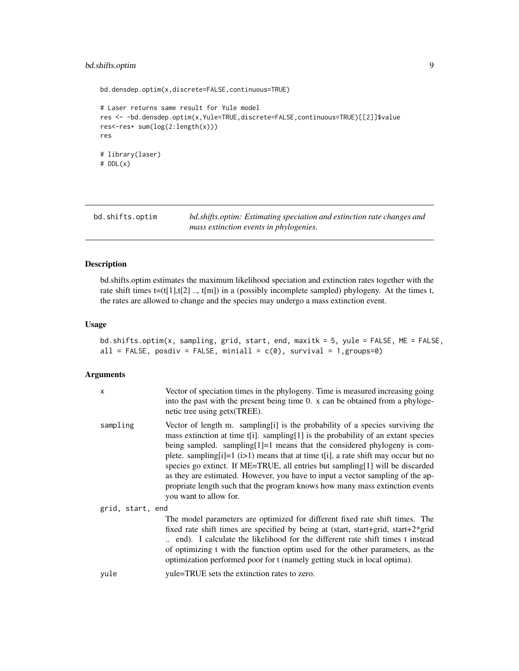#### <span id="page-8-0"></span>bd.shifts.optim 9

```
bd.densdep.optim(x,discrete=FALSE,continuous=TRUE)
# Laser returns same result for Yule model
res <- -bd.densdep.optim(x,Yule=TRUE,discrete=FALSE,continuous=TRUE)[[2]]$value
res<-res+ sum(log(2:length(x)))
res
# library(laser)
# DDL(x)
```
bd.shifts.optim *bd.shifts.optim: Estimating speciation and extinction rate changes and mass extinction events in phylogenies.*

#### Description

bd.shifts.optim estimates the maximum likelihood speciation and extinction rates together with the rate shift times  $t=(t[1],t[2]$  ..,  $t[m]$ ) in a (possibly incomplete sampled) phylogeny. At the times t, the rates are allowed to change and the species may undergo a mass extinction event.

#### Usage

```
bd.shifts.optim(x, sampling, grid, start, end, maxitk = 5, yule = FALSE, ME = FALSE,
all = FALSE, posdiv = FALSE, miniall = c(0), survival = 1,groups=0)
```

| X                | Vector of speciation times in the phylogeny. Time is measured increasing going<br>into the past with the present being time 0. x can be obtained from a phyloge-<br>netic tree using getx (TREE).                                                                                                                                                                                                                                                                                                                                                                                                                          |
|------------------|----------------------------------------------------------------------------------------------------------------------------------------------------------------------------------------------------------------------------------------------------------------------------------------------------------------------------------------------------------------------------------------------------------------------------------------------------------------------------------------------------------------------------------------------------------------------------------------------------------------------------|
| sampling         | Vector of length m. sampling[i] is the probability of a species surviving the<br>mass extinction at time $t[i]$ . sampling [1] is the probability of an extant species<br>being sampled. sampling $[1]$ =1 means that the considered phylogeny is com-<br>plete. sampling[i]=1 $(i>1)$ means that at time t[i], a rate shift may occur but no<br>species go extinct. If ME=TRUE, all entries but sampling[1] will be discarded<br>as they are estimated. However, you have to input a vector sampling of the ap-<br>propriate length such that the program knows how many mass extinction events<br>you want to allow for. |
| grid, start, end |                                                                                                                                                                                                                                                                                                                                                                                                                                                                                                                                                                                                                            |
|                  | The model parameters are optimized for different fixed rate shift times. The<br>fixed rate shift times are specified by being at (start, start+grid, start+2 $*$ grid<br>end). I calculate the likelihood for the different rate shift times t instead<br>of optimizing t with the function optim used for the other parameters, as the<br>optimization performed poor for t (namely getting stuck in local optima).                                                                                                                                                                                                       |
| yule             | yule=TRUE sets the extinction rates to zero.                                                                                                                                                                                                                                                                                                                                                                                                                                                                                                                                                                               |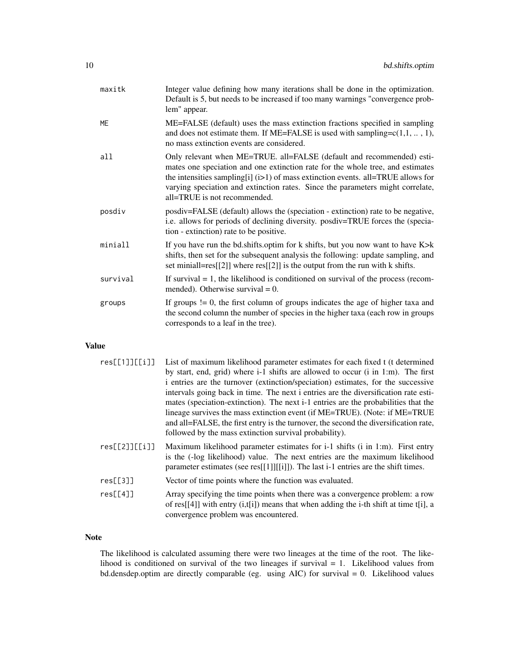| maxitk    | Integer value defining how many iterations shall be done in the optimization.<br>Default is 5, but needs to be increased if too many warnings "convergence prob-<br>lem" appear.                                                                                                                                                                                |
|-----------|-----------------------------------------------------------------------------------------------------------------------------------------------------------------------------------------------------------------------------------------------------------------------------------------------------------------------------------------------------------------|
| <b>ME</b> | ME=FALSE (default) uses the mass extinction fractions specified in sampling<br>and does not estimate them. If ME=FALSE is used with sampling= $c(1,1, \ldots, 1)$ ,<br>no mass extinction events are considered.                                                                                                                                                |
| all       | Only relevant when ME=TRUE. all=FALSE (default and recommended) esti-<br>mates one speciation and one extinction rate for the whole tree, and estimates<br>the intensities sampling[i] $(i>1)$ of mass extinction events. all=TRUE allows for<br>varying speciation and extinction rates. Since the parameters might correlate,<br>all=TRUE is not recommended. |
| posdiv    | posdiv=FALSE (default) allows the (speciation - extinction) rate to be negative,<br>i.e. allows for periods of declining diversity. posdiv=TRUE forces the (specia-<br>tion - extinction) rate to be positive.                                                                                                                                                  |
| miniall   | If you have run the bd.shifts.optim for $k$ shifts, but you now want to have $K > k$<br>shifts, then set for the subsequent analysis the following: update sampling, and<br>set minial= $res[[2]]$ where $res[[2]]$ is the output from the run with k shifts.                                                                                                   |
| survival  | If survival $= 1$ , the likelihood is conditioned on survival of the process (recom-<br>mended). Otherwise survival $= 0$ .                                                                                                                                                                                                                                     |
| groups    | If groups $!= 0$ , the first column of groups indicates the age of higher taxa and<br>the second column the number of species in the higher taxa (each row in groups<br>corresponds to a leaf in the tree).                                                                                                                                                     |

#### Value

| res[[1]][[i]]  | List of maximum likelihood parameter estimates for each fixed t (t determined                                                                                                                                                                        |
|----------------|------------------------------------------------------------------------------------------------------------------------------------------------------------------------------------------------------------------------------------------------------|
|                | by start, end, grid) where i-1 shifts are allowed to occur (i in 1:m). The first                                                                                                                                                                     |
|                | i entries are the turnover (extinction/speciation) estimates, for the successive                                                                                                                                                                     |
|                | intervals going back in time. The next i entries are the diversification rate esti-                                                                                                                                                                  |
|                | mates (speciation-extinction). The next i-1 entries are the probabilities that the                                                                                                                                                                   |
|                | lineage survives the mass extinction event (if ME=TRUE). (Note: if ME=TRUE)                                                                                                                                                                          |
|                | and all=FALSE, the first entry is the turnover, the second the diversification rate,                                                                                                                                                                 |
|                | followed by the mass extinction survival probability).                                                                                                                                                                                               |
| res[[2]][[ii]] | Maximum likelihood parameter estimates for i-1 shifts (i in 1:m). First entry<br>is the (-log likelihood) value. The next entries are the maximum likelihood<br>parameter estimates (see res[[1]][[1]]). The last $i-1$ entries are the shift times. |
| res[[3]]       | Vector of time points where the function was evaluated.                                                                                                                                                                                              |
| res[[4]]       | Array specifying the time points when there was a convergence problem: a row<br>of res[[4]] with entry $(i, [i])$ means that when adding the i-th shift at time t[i], a<br>convergence problem was encountered.                                      |

#### Note

The likelihood is calculated assuming there were two lineages at the time of the root. The likelihood is conditioned on survival of the two lineages if survival = 1. Likelihood values from bd.densdep.optim are directly comparable (eg. using AIC) for survival = 0. Likelihood values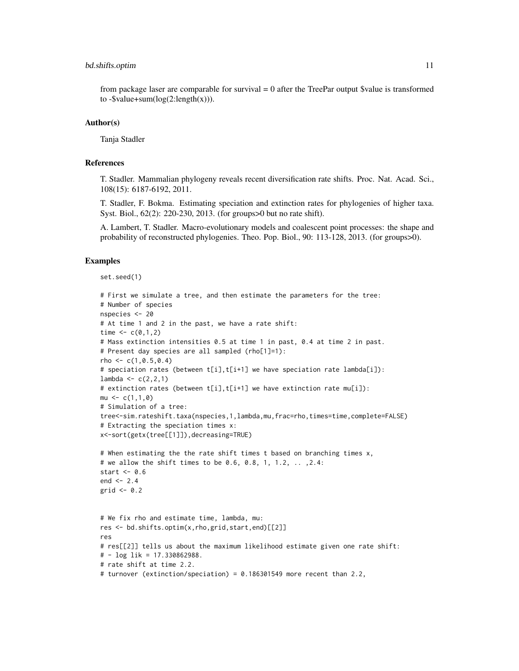#### bd.shifts.optim 11

from package laser are comparable for survival  $= 0$  after the TreePar output \$value is transformed to  $-\text{Svalue}+\text{sum}(\log(2:\text{length}(x))).$ 

#### Author(s)

Tanja Stadler

#### References

T. Stadler. Mammalian phylogeny reveals recent diversification rate shifts. Proc. Nat. Acad. Sci., 108(15): 6187-6192, 2011.

T. Stadler, F. Bokma. Estimating speciation and extinction rates for phylogenies of higher taxa. Syst. Biol., 62(2): 220-230, 2013. (for groups>0 but no rate shift).

A. Lambert, T. Stadler. Macro-evolutionary models and coalescent point processes: the shape and probability of reconstructed phylogenies. Theo. Pop. Biol., 90: 113-128, 2013. (for groups>0).

#### Examples

```
set.seed(1)
```

```
# First we simulate a tree, and then estimate the parameters for the tree:
# Number of species
nspecies <- 20
# At time 1 and 2 in the past, we have a rate shift:
time \leq c(0,1,2)# Mass extinction intensities 0.5 at time 1 in past, 0.4 at time 2 in past.
# Present day species are all sampled (rho[1]=1):
rho \leq -c(1, 0.5, 0.4)# speciation rates (between t[i],t[i+1] we have speciation rate lambda[i]):
lambda < -c(2,2,1)# extinction rates (between t[i],t[i+1] we have extinction rate mu[i]):
mu \leftarrow c(1,1,0)# Simulation of a tree:
tree<-sim.rateshift.taxa(nspecies,1,lambda,mu,frac=rho,times=time,complete=FALSE)
# Extracting the speciation times x:
x<-sort(getx(tree[[1]]),decreasing=TRUE)
# When estimating the the rate shift times t based on branching times x,
# we allow the shift times to be 0.6, 0.8, 1, 1.2, .. ,2.4:
start <-0.6end <- 2.4grid \leq -0.2# We fix rho and estimate time, lambda, mu:
res <- bd.shifts.optim(x,rho,grid,start,end)[[2]]
res
# res[[2]] tells us about the maximum likelihood estimate given one rate shift:
# - log lik = 17.330862988.
# rate shift at time 2.2.
# turnover (extinction/speciation) = 0.186301549 more recent than 2.2,
```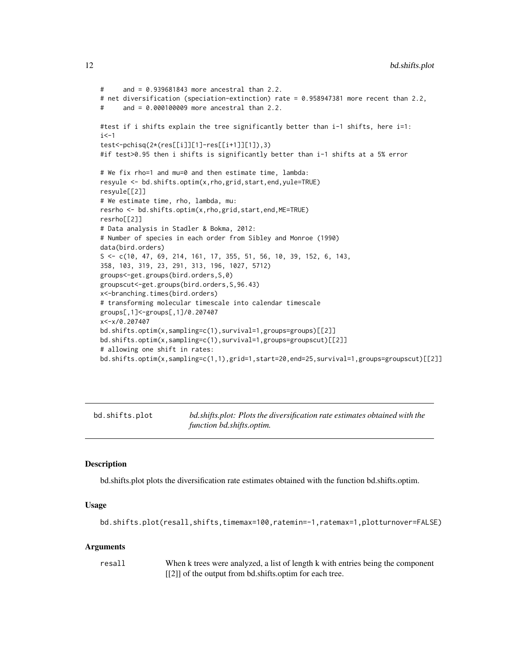```
# and = 0.939681843 more ancestral than 2.2.
# net diversification (speciation-extinction) rate = 0.958947381 more recent than 2.2,
# and = 0.000100009 more ancestral than 2.2.
#test if i shifts explain the tree significantly better than i-1 shifts, here i=1:
i <-1
test<-pchisq(2*(res[[i]][1]-res[[i+1]][1]),3)
#if test>0.95 then i shifts is significantly better than i-1 shifts at a 5% error
# We fix rho=1 and mu=0 and then estimate time, lambda:
resyule <- bd.shifts.optim(x,rho,grid,start,end,yule=TRUE)
resyule[[2]]
# We estimate time, rho, lambda, mu:
resrho <- bd.shifts.optim(x,rho,grid,start,end,ME=TRUE)
resrho[[2]]
# Data analysis in Stadler & Bokma, 2012:
# Number of species in each order from Sibley and Monroe (1990)
data(bird.orders)
S <- c(10, 47, 69, 214, 161, 17, 355, 51, 56, 10, 39, 152, 6, 143,
358, 103, 319, 23, 291, 313, 196, 1027, 5712)
groups<-get.groups(bird.orders,S,0)
groupscut<-get.groups(bird.orders,S,96.43)
x<-branching.times(bird.orders)
# transforming molecular timescale into calendar timescale
groups[,1]<-groups[,1]/0.207407
x<-x/0.207407
bd.shifts.optim(x,sampling=c(1),survival=1,groups=groups)[[2]]
bd.shifts.optim(x,sampling=c(1),survival=1,groups=groupscut)[[2]]
# allowing one shift in rates:
bd.shifts.optim(x,sampling=c(1,1),grid=1,start=20,end=25,survival=1,groups=groupscut)[[2]]
```
bd.shifts.plot *bd.shifts.plot: Plots the diversification rate estimates obtained with the function bd.shifts.optim.*

#### Description

bd.shifts.plot plots the diversification rate estimates obtained with the function bd.shifts.optim.

#### Usage

```
bd.shifts.plot(resall,shifts,timemax=100,ratemin=-1,ratemax=1,plotturnover=FALSE)
```
#### Arguments

resall When k trees were analyzed, a list of length k with entries being the component [[2]] of the output from bd.shifts.optim for each tree.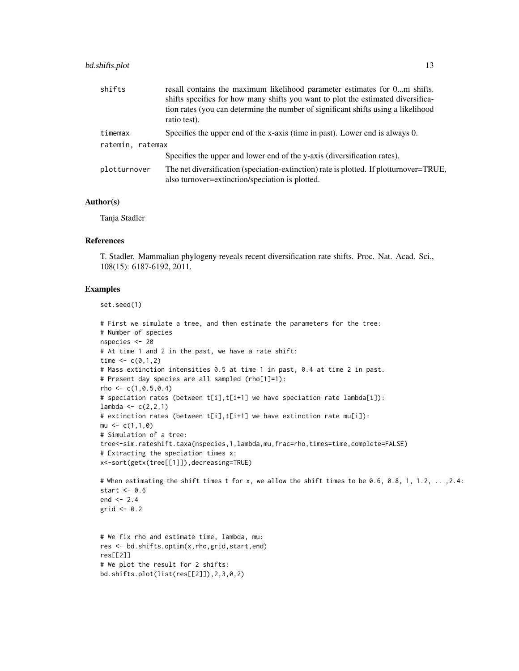#### bd.shifts.plot 13

| shifts           | resall contains the maximum likelihood parameter estimates for 0m shifts.                                                                                                             |
|------------------|---------------------------------------------------------------------------------------------------------------------------------------------------------------------------------------|
|                  | shifts specifies for how many shifts you want to plot the estimated diversifica-<br>tion rates (you can determine the number of significant shifts using a likelihood<br>ratio test). |
| timemax          | Specifies the upper end of the x-axis (time in past). Lower end is always 0.                                                                                                          |
| ratemin, ratemax |                                                                                                                                                                                       |
|                  | Specifies the upper and lower end of the y-axis (diversification rates).                                                                                                              |
| plotturnover     | The net diversification (speciation-extinction) rate is plotted. If plotturnover=TRUE,<br>also turnover=extinction/speciation is plotted.                                             |

#### Author(s)

Tanja Stadler

#### References

T. Stadler. Mammalian phylogeny reveals recent diversification rate shifts. Proc. Nat. Acad. Sci., 108(15): 6187-6192, 2011.

#### Examples

set.seed(1)

```
# First we simulate a tree, and then estimate the parameters for the tree:
# Number of species
nspecies <- 20
# At time 1 and 2 in the past, we have a rate shift:
time <- c(0,1,2)# Mass extinction intensities 0.5 at time 1 in past, 0.4 at time 2 in past.
# Present day species are all sampled (rho[1]=1):
rho <- c(1, 0.5, 0.4)# speciation rates (between t[i],t[i+1] we have speciation rate lambda[i]):
lambda < -c(2,2,1)# extinction rates (between t[i],t[i+1] we have extinction rate mu[i]):
mu < -c(1,1,0)# Simulation of a tree:
tree<-sim.rateshift.taxa(nspecies,1,lambda,mu,frac=rho,times=time,complete=FALSE)
# Extracting the speciation times x:
x<-sort(getx(tree[[1]]),decreasing=TRUE)
# When estimating the shift times t for x, we allow the shift times to be 0.6, 0.8, 1, 1.2, ..., 2.4:
start <-0.6end <- 2.4grid \leq 0.2# We fix rho and estimate time, lambda, mu:
res <- bd.shifts.optim(x,rho,grid,start,end)
res[[2]]
# We plot the result for 2 shifts:
bd.shifts.plot(list(res[[2]]),2,3,0,2)
```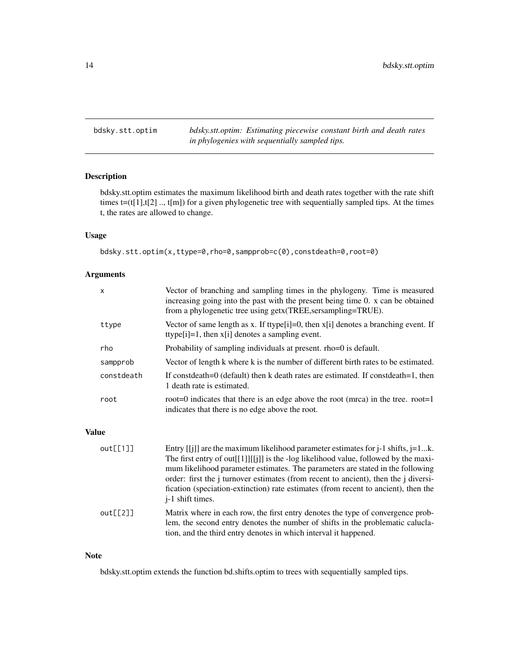<span id="page-13-0"></span>bdsky.stt.optim *bdsky.stt.optim: Estimating piecewise constant birth and death rates in phylogenies with sequentially sampled tips.*

#### Description

bdsky.stt.optim estimates the maximum likelihood birth and death rates together with the rate shift times t=(t[1],t[2] .., t[m]) for a given phylogenetic tree with sequentially sampled tips. At the times t, the rates are allowed to change.

#### Usage

bdsky.stt.optim(x,ttype=0,rho=0,sampprob=c(0),constdeath=0,root=0)

#### Arguments

|              | X          | Vector of branching and sampling times in the phylogeny. Time is measured<br>increasing going into the past with the present being time 0. x can be obtained<br>from a phylogenetic tree using getx (TREE, sersampling=TRUE).                                                                                                                                                                                                                                                  |
|--------------|------------|--------------------------------------------------------------------------------------------------------------------------------------------------------------------------------------------------------------------------------------------------------------------------------------------------------------------------------------------------------------------------------------------------------------------------------------------------------------------------------|
|              | ttype      | Vector of same length as x. If ttype[i]=0, then $x[i]$ denotes a branching event. If<br>ttype $[i]=1$ , then $x[i]$ denotes a sampling event.                                                                                                                                                                                                                                                                                                                                  |
|              | rho        | Probability of sampling individuals at present. rho=0 is default.                                                                                                                                                                                                                                                                                                                                                                                                              |
|              | sampprob   | Vector of length k where k is the number of different birth rates to be estimated.                                                                                                                                                                                                                                                                                                                                                                                             |
|              | constdeath | If constdeath=0 (default) then k death rates are estimated. If constdeath=1, then<br>1 death rate is estimated.                                                                                                                                                                                                                                                                                                                                                                |
|              | root       | root=0 indicates that there is an edge above the root (mrca) in the tree. root=1<br>indicates that there is no edge above the root.                                                                                                                                                                                                                                                                                                                                            |
| <b>Value</b> |            |                                                                                                                                                                                                                                                                                                                                                                                                                                                                                |
|              | out[1]]    | Entry [[j]] are the maximum likelihood parameter estimates for $j$ -1 shifts, $j$ =1k.<br>The first entry of out [[1]] $\lim_{h \to 0}$ is the -log likelihood value, followed by the maxi-<br>mum likelihood parameter estimates. The parameters are stated in the following<br>order: first the j turnover estimates (from recent to ancient), then the j diversi-<br>fication (speciation-extinction) rate estimates (from recent to ancient), then the<br>j-1 shift times. |
|              | out[2]     | Matrix where in each row, the first entry denotes the type of convergence prob-<br>lem, the second entry denotes the number of shifts in the problematic calucla-                                                                                                                                                                                                                                                                                                              |

#### Note

bdsky.stt.optim extends the function bd.shifts.optim to trees with sequentially sampled tips.

tion, and the third entry denotes in which interval it happened.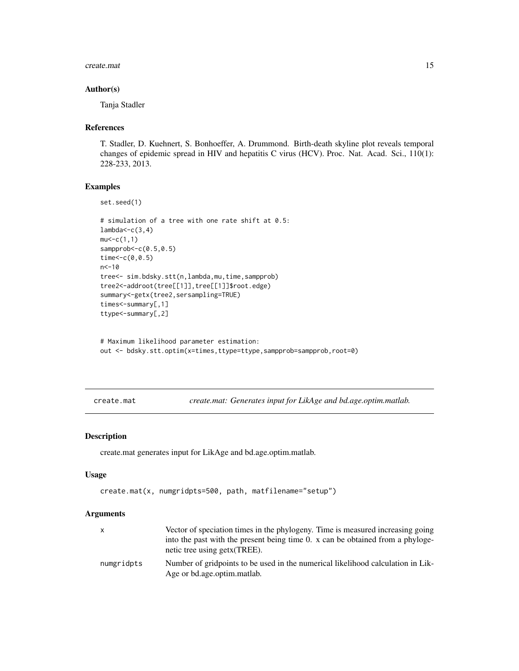#### <span id="page-14-0"></span>create.mat 15

#### Author(s)

Tanja Stadler

#### References

T. Stadler, D. Kuehnert, S. Bonhoeffer, A. Drummond. Birth-death skyline plot reveals temporal changes of epidemic spread in HIV and hepatitis C virus (HCV). Proc. Nat. Acad. Sci., 110(1): 228-233, 2013.

#### Examples

```
set.seed(1)
# simulation of a tree with one rate shift at 0.5:
lambda < -c(3, 4)mu < -c(1,1)sampprob <- c(0.5,0.5)
time<-c(0,0.5)
n<-10
tree<- sim.bdsky.stt(n,lambda,mu,time,sampprob)
tree2<-addroot(tree[[1]],tree[[1]]$root.edge)
summary<-getx(tree2,sersampling=TRUE)
times<-summary[,1]
ttype<-summary[,2]
```

```
# Maximum likelihood parameter estimation:
out <- bdsky.stt.optim(x=times,ttype=ttype,sampprob=sampprob,root=0)
```
create.mat *create.mat: Generates input for LikAge and bd.age.optim.matlab.*

#### Description

create.mat generates input for LikAge and bd.age.optim.matlab.

#### Usage

```
create.mat(x, numgridpts=500, path, matfilename="setup")
```

|            | Vector of speciation times in the phylogeny. Time is measured increasing going                                  |
|------------|-----------------------------------------------------------------------------------------------------------------|
|            | into the past with the present being time 0. x can be obtained from a phyloge-<br>netic tree using getx (TREE). |
| numgridpts | Number of gridpoints to be used in the numerical likelihood calculation in Lik-<br>Age or bd.age.optim.matlab.  |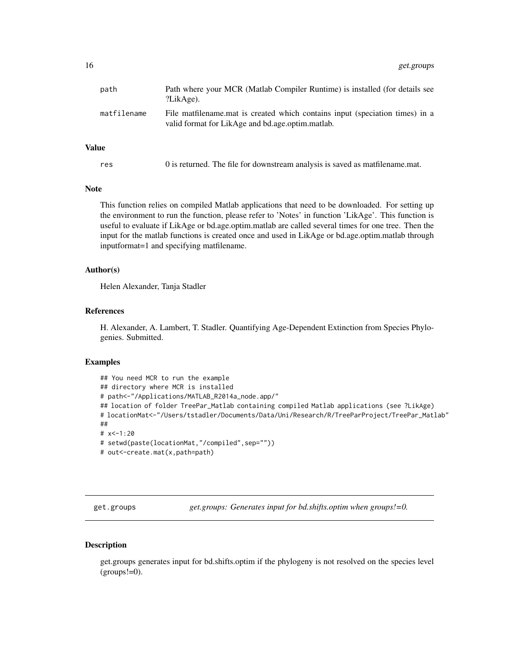<span id="page-15-0"></span>

| path        | Path where your MCR (Matlab Compiler Runtime) is installed (for details see<br>?LikAge).                                         |
|-------------|----------------------------------------------------------------------------------------------------------------------------------|
| matfilename | File matfilename mat is created which contains input (speciation times) in a<br>valid format for LikAge and bd.age.optim.matlab. |

#### Value

| res | 0 is returned. The file for downstream analysis is saved as matfilename.mat. |  |  |
|-----|------------------------------------------------------------------------------|--|--|
|-----|------------------------------------------------------------------------------|--|--|

#### **Note**

This function relies on compiled Matlab applications that need to be downloaded. For setting up the environment to run the function, please refer to 'Notes' in function 'LikAge'. This function is useful to evaluate if LikAge or bd.age.optim.matlab are called several times for one tree. Then the input for the matlab functions is created once and used in LikAge or bd.age.optim.matlab through inputformat=1 and specifying matfilename.

#### Author(s)

Helen Alexander, Tanja Stadler

#### References

H. Alexander, A. Lambert, T. Stadler. Quantifying Age-Dependent Extinction from Species Phylogenies. Submitted.

#### Examples

```
## You need MCR to run the example
## directory where MCR is installed
# path<-"/Applications/MATLAB_R2014a_node.app/"
## location of folder TreePar_Matlab containing compiled Matlab applications (see ?LikAge)
# locationMat<-"/Users/tstadler/Documents/Data/Uni/Research/R/TreeParProject/TreePar_Matlab"
##
# x<-1:20
# setwd(paste(locationMat,"/compiled",sep=""))
# out <- create.mat(x,path=path)
```
get.groups *get.groups: Generates input for bd.shifts.optim when groups!=0.*

#### Description

get.groups generates input for bd.shifts.optim if the phylogeny is not resolved on the species level  $(grows!=0)$ .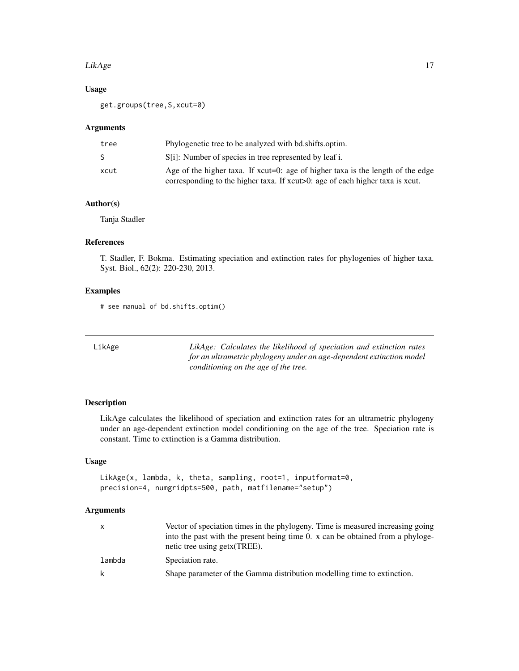#### <span id="page-16-0"></span>LikAge 17

#### Usage

get.groups(tree,S,xcut=0)

#### Arguments

| tree | Phylogenetic tree to be analyzed with bd.shifts.optim.                                                                                                                 |
|------|------------------------------------------------------------------------------------------------------------------------------------------------------------------------|
| S.   | S[i]: Number of species in tree represented by leaf i.                                                                                                                 |
| xcut | Age of the higher taxa. If $xcut=0$ : age of higher taxa is the length of the edge<br>corresponding to the higher taxa. If $xcut>0$ : age of each higher taxa is xcut. |
|      |                                                                                                                                                                        |

#### Author(s)

Tanja Stadler

#### References

T. Stadler, F. Bokma. Estimating speciation and extinction rates for phylogenies of higher taxa. Syst. Biol., 62(2): 220-230, 2013.

#### Examples

# see manual of bd.shifts.optim()

| LikAge | LikAge: Calculates the likelihood of speciation and extinction rates |
|--------|----------------------------------------------------------------------|
|        | for an ultrametric phylogeny under an age-dependent extinction model |
|        | conditioning on the age of the tree.                                 |

#### Description

LikAge calculates the likelihood of speciation and extinction rates for an ultrametric phylogeny under an age-dependent extinction model conditioning on the age of the tree. Speciation rate is constant. Time to extinction is a Gamma distribution.

#### Usage

```
LikAge(x, lambda, k, theta, sampling, root=1, inputformat=0,
precision=4, numgridpts=500, path, matfilename="setup")
```

| $\mathsf{x}$ | Vector of speciation times in the phylogeny. Time is measured increasing going<br>into the past with the present being time 0. x can be obtained from a phyloge-<br>netic tree using getx (TREE). |
|--------------|---------------------------------------------------------------------------------------------------------------------------------------------------------------------------------------------------|
| lambda       | Speciation rate.                                                                                                                                                                                  |
| k            | Shape parameter of the Gamma distribution modelling time to extinction.                                                                                                                           |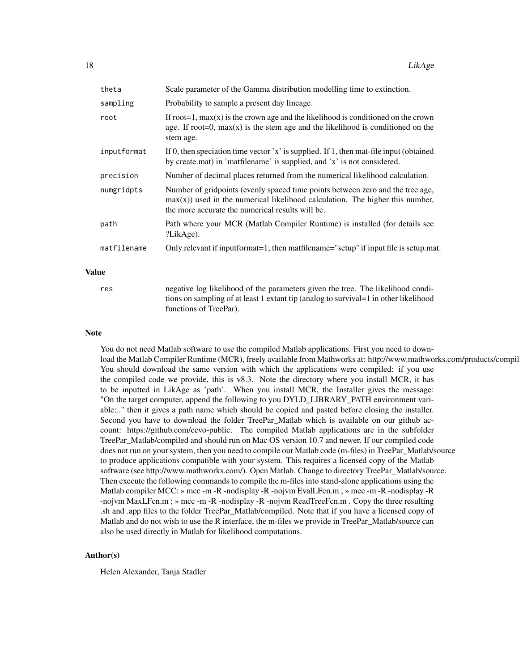| theta       | Scale parameter of the Gamma distribution modelling time to extinction.                                                                                                                                                |
|-------------|------------------------------------------------------------------------------------------------------------------------------------------------------------------------------------------------------------------------|
| sampling    | Probability to sample a present day lineage.                                                                                                                                                                           |
| root        | If root = 1, $max(x)$ is the crown age and the likelihood is conditioned on the crown<br>age. If root=0, $max(x)$ is the stem age and the likelihood is conditioned on the<br>stem age.                                |
| inputformat | If 0, then speciation time vector 'x' is supplied. If 1, then mat-file input (obtained<br>by create.mat) in 'matfilename' is supplied, and 'x' is not considered.                                                      |
| precision   | Number of decimal places returned from the numerical likelihood calculation.                                                                                                                                           |
| numgridpts  | Number of gridpoints (evenly spaced time points between zero and the tree age,<br>$max(x)$ ) used in the numerical likelihood calculation. The higher this number,<br>the more accurate the numerical results will be. |
| path        | Path where your MCR (Matlab Compiler Runtime) is installed (for details see<br>?LikAge).                                                                                                                               |
| matfilename | Only relevant if inputformat=1; then matfilename="setup" if input file is setup.mat.                                                                                                                                   |

#### Value

res negative log likelihood of the parameters given the tree. The likelihood conditions on sampling of at least 1 extant tip (analog to survival=1 in other likelihood functions of TreePar).

#### Note

You do not need Matlab software to use the compiled Matlab applications. First you need to download the Matlab Compiler Runtime (MCR), freely available from Mathworks at: http://www.mathworks.com/products/compil You should download the same version with which the applications were compiled: if you use the compiled code we provide, this is v8.3. Note the directory where you install MCR, it has to be inputted in LikAge as 'path'. When you install MCR, the Installer gives the message: "On the target computer, append the following to you DYLD\_LIBRARY\_PATH environment variable:.." then it gives a path name which should be copied and pasted before closing the installer. Second you have to download the folder TreePar\_Matlab which is available on our github account: https://github.com/cevo-public. The compiled Matlab applications are in the subfolder TreePar\_Matlab/compiled and should run on Mac OS version 10.7 and newer. If our compiled code does not run on your system, then you need to compile our Matlab code (m-files) in TreePar\_Matlab/source to produce applications compatible with your system. This requires a licensed copy of the Matlab software (see http://www.mathworks.com/). Open Matlab. Change to directory TreePar\_Matlab/source. Then execute the following commands to compile the m-files into stand-alone applications using the Matlab compiler MCC: » mcc -m -R -nodisplay -R -nojvm EvalLFcn.m ; » mcc -m -R -nodisplay -R -nojvm MaxLFcn.m ; » mcc -m -R -nodisplay -R -nojvm ReadTreeFcn.m . Copy the three resulting .sh and .app files to the folder TreePar\_Matlab/compiled. Note that if you have a licensed copy of Matlab and do not wish to use the R interface, the m-files we provide in TreePar\_Matlab/source can also be used directly in Matlab for likelihood computations.

#### Author(s)

Helen Alexander, Tanja Stadler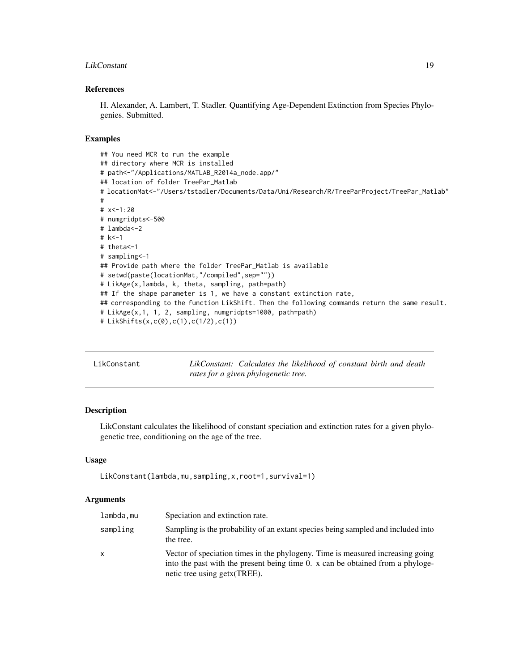#### <span id="page-18-0"></span>LikConstant 19

#### References

H. Alexander, A. Lambert, T. Stadler. Quantifying Age-Dependent Extinction from Species Phylogenies. Submitted.

#### Examples

```
## You need MCR to run the example
## directory where MCR is installed
# path<-"/Applications/MATLAB_R2014a_node.app/"
## location of folder TreePar_Matlab
# locationMat<-"/Users/tstadler/Documents/Data/Uni/Research/R/TreeParProject/TreePar_Matlab"
#
# x<-1:20
# numgridpts<-500
# lambda<-2
# k<-1
# theta<-1
# sampling<-1
## Provide path where the folder TreePar_Matlab is available
# setwd(paste(locationMat,"/compiled",sep=""))
# LikAge(x,lambda, k, theta, sampling, path=path)
## If the shape parameter is 1, we have a constant extinction rate,
## corresponding to the function LikShift. Then the following commands return the same result.
# LikAge(x,1, 1, 2, sampling, numgridpts=1000, path=path)
# LikShifts(x,c(0),c(1),c(1/2),c(1))
```

| LikConstant | LikConstant: Calculates the likelihood of constant birth and death |  |  |  |  |
|-------------|--------------------------------------------------------------------|--|--|--|--|
|             | rates for a given phylogenetic tree.                               |  |  |  |  |

#### Description

LikConstant calculates the likelihood of constant speciation and extinction rates for a given phylogenetic tree, conditioning on the age of the tree.

#### Usage

```
LikConstant(lambda,mu,sampling,x,root=1,survival=1)
```

| lambda.mu | Speciation and extinction rate.                                                                                                                                                                   |
|-----------|---------------------------------------------------------------------------------------------------------------------------------------------------------------------------------------------------|
| sampling  | Sampling is the probability of an extant species being sampled and included into<br>the tree.                                                                                                     |
| X         | Vector of speciation times in the phylogeny. Time is measured increasing going<br>into the past with the present being time 0. x can be obtained from a phyloge-<br>netic tree using getx (TREE). |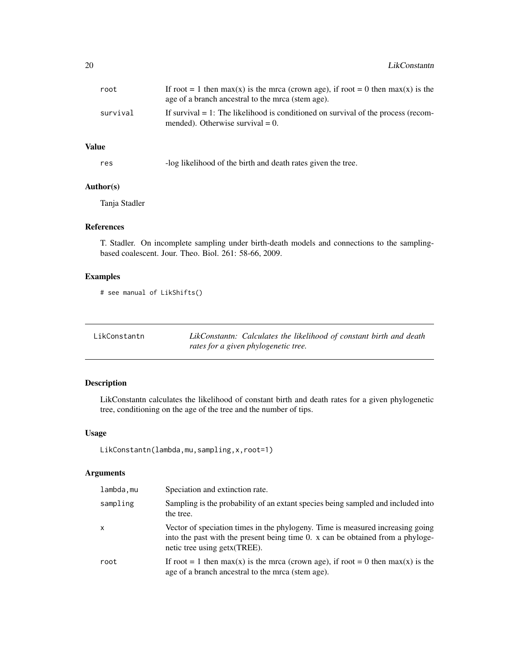<span id="page-19-0"></span>

| root     | If root = 1 then max(x) is the mrca (crown age), if root = 0 then max(x) is the<br>age of a branch ancestral to the mrca (stem age). |
|----------|--------------------------------------------------------------------------------------------------------------------------------------|
| survival | If survival $= 1$ : The likelihood is conditioned on survival of the process (recom-<br>mended). Otherwise survival $= 0$ .          |

#### Value

| -log likelihood of the birth and death rates given the tree. |
|--------------------------------------------------------------|
|                                                              |

### Author(s)

Tanja Stadler

#### References

T. Stadler. On incomplete sampling under birth-death models and connections to the samplingbased coalescent. Jour. Theo. Biol. 261: 58-66, 2009.

#### Examples

```
# see manual of LikShifts()
```

| LikConstantn | LikConstantn: Calculates the likelihood of constant birth and death |  |  |  |  |
|--------------|---------------------------------------------------------------------|--|--|--|--|
|              | rates for a given phylogenetic tree.                                |  |  |  |  |

#### Description

LikConstantn calculates the likelihood of constant birth and death rates for a given phylogenetic tree, conditioning on the age of the tree and the number of tips.

#### Usage

```
LikConstantn(lambda,mu,sampling,x,root=1)
```

| lambda,mu | Speciation and extinction rate.                                                                                                                                                                   |
|-----------|---------------------------------------------------------------------------------------------------------------------------------------------------------------------------------------------------|
| sampling  | Sampling is the probability of an extant species being sampled and included into<br>the tree.                                                                                                     |
| X         | Vector of speciation times in the phylogeny. Time is measured increasing going<br>into the past with the present being time 0. x can be obtained from a phyloge-<br>netic tree using getx (TREE). |
| root      | If root = 1 then max(x) is the mrca (crown age), if root = 0 then max(x) is the<br>age of a branch ancestral to the mrca (stem age).                                                              |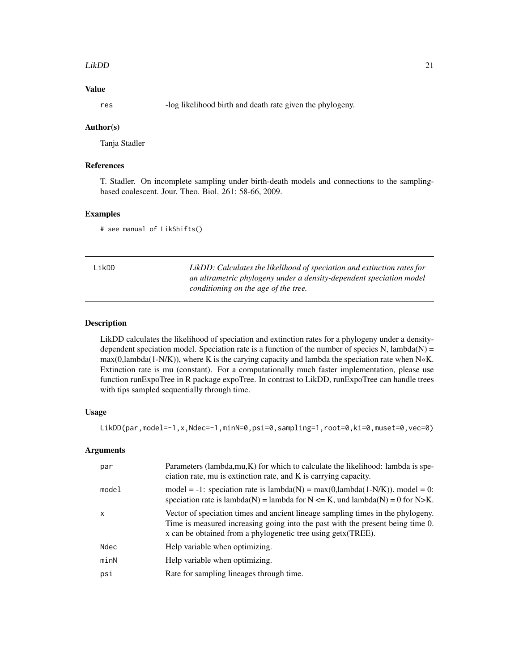#### <span id="page-20-0"></span>LikDD 21

#### Value

res -log likelihood birth and death rate given the phylogeny.

#### Author(s)

Tanja Stadler

#### References

T. Stadler. On incomplete sampling under birth-death models and connections to the samplingbased coalescent. Jour. Theo. Biol. 261: 58-66, 2009.

#### Examples

# see manual of LikShifts()

LikDD *LikDD: Calculates the likelihood of speciation and extinction rates for an ultrametric phylogeny under a density-dependent speciation model conditioning on the age of the tree.*

#### Description

LikDD calculates the likelihood of speciation and extinction rates for a phylogeny under a densitydependent speciation model. Speciation rate is a function of the number of species  $N$ , lambda $(N)$  =  $max(0, lambda(1-N/K))$ , where K is the carying capacity and lambda the speciation rate when N«K. Extinction rate is mu (constant). For a computationally much faster implementation, please use function runExpoTree in R package expoTree. In contrast to LikDD, runExpoTree can handle trees with tips sampled sequentially through time.

#### Usage

```
LikDD(par,model=-1,x,Ndec=-1,minN=0,psi=0,sampling=1,root=0,ki=0,muset=0,vec=0)
```

| par   | Parameters (lambda, mu, K) for which to calculate the likelihood: lambda is spe-<br>ciation rate, mu is extinction rate, and K is carrying capacity.                                                                               |
|-------|------------------------------------------------------------------------------------------------------------------------------------------------------------------------------------------------------------------------------------|
| model | model = -1: speciation rate is $lambda(N) = max(0,lambda(1-N/K))$ . model = 0:<br>speciation rate is lambda(N) = lambda for N $\leq$ K, und lambda(N) = 0 for N>K.                                                                 |
| x     | Vector of speciation times and ancient lineage sampling times in the phylogeny.<br>Time is measured increasing going into the past with the present being time 0.<br>x can be obtained from a phylogenetic tree using getx (TREE). |
| Ndec  | Help variable when optimizing.                                                                                                                                                                                                     |
| minN  | Help variable when optimizing.                                                                                                                                                                                                     |
| psi   | Rate for sampling lineages through time.                                                                                                                                                                                           |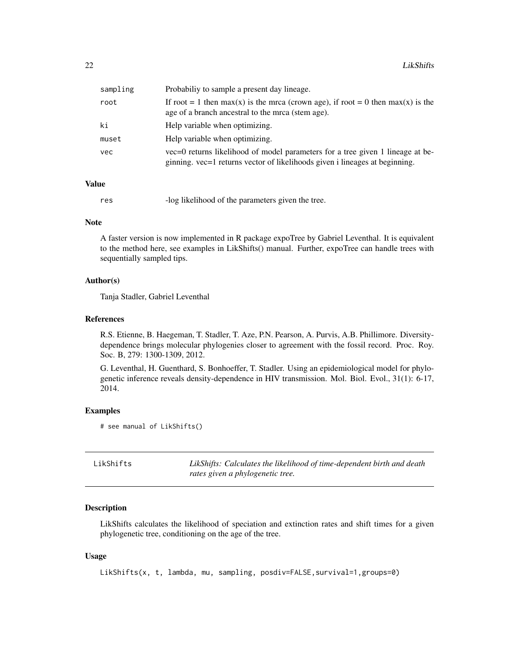<span id="page-21-0"></span>

| sampling | Probabiliy to sample a present day lineage.                                                                                                                   |
|----------|---------------------------------------------------------------------------------------------------------------------------------------------------------------|
| root     | If root = 1 then max(x) is the mrca (crown age), if root = 0 then max(x) is the<br>age of a branch ancestral to the mrca (stem age).                          |
| ki       | Help variable when optimizing.                                                                                                                                |
| muset    | Help variable when optimizing.                                                                                                                                |
| vec      | vec=0 returns likelihood of model parameters for a tree given 1 lineage at be-<br>ginning. vec=1 returns vector of likelihoods given i lineages at beginning. |

#### Value

res -log likelihood of the parameters given the tree.

#### **Note**

A faster version is now implemented in R package expoTree by Gabriel Leventhal. It is equivalent to the method here, see examples in LikShifts() manual. Further, expoTree can handle trees with sequentially sampled tips.

#### Author(s)

Tanja Stadler, Gabriel Leventhal

#### References

R.S. Etienne, B. Haegeman, T. Stadler, T. Aze, P.N. Pearson, A. Purvis, A.B. Phillimore. Diversitydependence brings molecular phylogenies closer to agreement with the fossil record. Proc. Roy. Soc. B, 279: 1300-1309, 2012.

G. Leventhal, H. Guenthard, S. Bonhoeffer, T. Stadler. Using an epidemiological model for phylogenetic inference reveals density-dependence in HIV transmission. Mol. Biol. Evol., 31(1): 6-17, 2014.

#### Examples

```
# see manual of LikShifts()
```

| LikShifts | LikShifts: Calculates the likelihood of time-dependent birth and death |
|-----------|------------------------------------------------------------------------|
|           | rates given a phylogenetic tree.                                       |

#### Description

LikShifts calculates the likelihood of speciation and extinction rates and shift times for a given phylogenetic tree, conditioning on the age of the tree.

#### Usage

LikShifts(x, t, lambda, mu, sampling, posdiv=FALSE,survival=1,groups=0)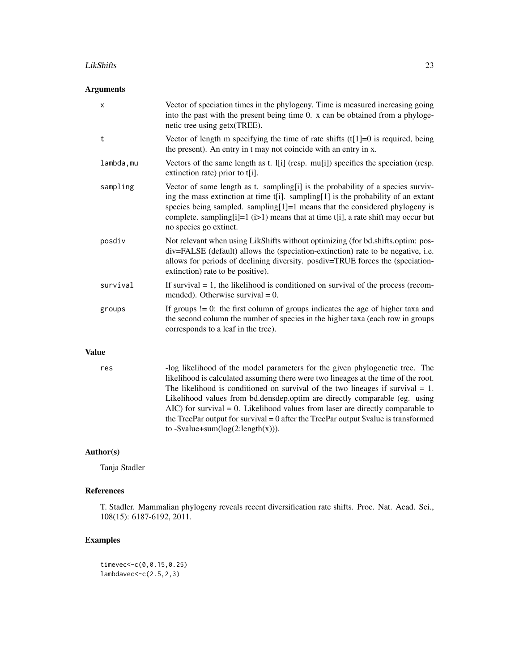#### LikShifts 23

#### Arguments

|              | X          | Vector of speciation times in the phylogeny. Time is measured increasing going<br>into the past with the present being time 0. x can be obtained from a phyloge-<br>netic tree using getx(TREE).                                                                                                                                                                      |
|--------------|------------|-----------------------------------------------------------------------------------------------------------------------------------------------------------------------------------------------------------------------------------------------------------------------------------------------------------------------------------------------------------------------|
|              | t          | Vector of length m specifying the time of rate shifts $(t[1]=0$ is required, being<br>the present). An entry in t may not coincide with an entry in x.                                                                                                                                                                                                                |
|              | lambda, mu | Vectors of the same length as t. I[i] (resp. mu[i]) specifies the speciation (resp.<br>extinction rate) prior to t[i].                                                                                                                                                                                                                                                |
|              | sampling   | Vector of same length as t. sampling[i] is the probability of a species surviv-<br>ing the mass extinction at time t[i]. sampling[1] is the probability of an extant<br>species being sampled. sampling $[1]=1$ means that the considered phylogeny is<br>complete. sampling[i]=1 (i>1) means that at time t[i], a rate shift may occur but<br>no species go extinct. |
|              | posdiv     | Not relevant when using LikShifts without optimizing (for bd.shifts.optim: pos-<br>div=FALSE (default) allows the (speciation-extinction) rate to be negative, i.e.<br>allows for periods of declining diversity. posdiv=TRUE forces the (speciation-<br>extinction) rate to be positive).                                                                            |
|              | survival   | If survival $= 1$ , the likelihood is conditioned on survival of the process (recom-<br>mended). Otherwise survival $= 0$ .                                                                                                                                                                                                                                           |
|              | groups     | If groups $!= 0$ : the first column of groups indicates the age of higher taxa and<br>the second column the number of species in the higher taxa (each row in groups<br>corresponds to a leaf in the tree).                                                                                                                                                           |
| <b>Value</b> |            |                                                                                                                                                                                                                                                                                                                                                                       |
|              |            | $\mathbf{1}$ and $\mathbf{1}$ and $\mathbf{1}$ and $\mathbf{1}$ and $\mathbf{1}$ and $\mathbf{1}$ and $\mathbf{1}$ and $\mathbf{1}$ and $\mathbf{1}$ and $\mathbf{1}$ and $\mathbf{1}$ and $\mathbf{1}$ and $\mathbf{1}$ and $\mathbf{1}$ and $\mathbf{1}$ and $\mathbf{1}$ and $\mathbf{1}$ and<br>$111$ $111$<br>$\sim$ 1 $\sim$ 1<br>$T^*$                         |

res -log likelihood of the model parameters for the given phylogenetic tree. The likelihood is calculated assuming there were two lineages at the time of the root. The likelihood is conditioned on survival of the two lineages if survival  $= 1$ . Likelihood values from bd.densdep.optim are directly comparable (eg. using AIC) for survival = 0. Likelihood values from laser are directly comparable to the TreePar output for survival = 0 after the TreePar output \$value is transformed to  $-\text{value}+\text{sum}(\log(2:\text{length}(x))).$ 

#### Author(s)

Tanja Stadler

#### References

T. Stadler. Mammalian phylogeny reveals recent diversification rate shifts. Proc. Nat. Acad. Sci., 108(15): 6187-6192, 2011.

#### Examples

timevec<-c(0,0.15,0.25) lambdavec<-c(2.5,2,3)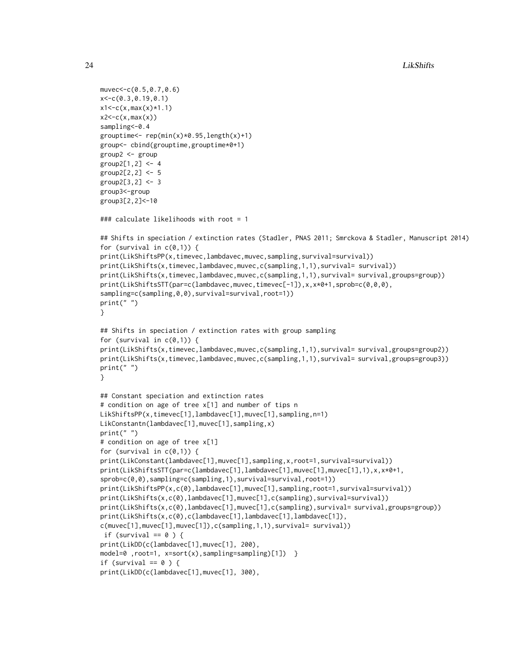```
muvec<-c(0.5,0.7,0.6)
x<-c(0.3,0.19,0.1)
x1 < -c(x, max(x) * 1.1)x2 < -c(x, max(x))sampling<-0.4
grouptime < - rep(min(x)*0.95, length(x)+1)group<- cbind(grouptime,grouptime*0+1)
group2 <- group
group2[1,2] < -4group2[2,2] < -5group2[3,2] <- 3
group3<-group
group3[2,2]<-10
### calculate likelihoods with root = 1
## Shifts in speciation / extinction rates (Stadler, PNAS 2011; Smrckova & Stadler, Manuscript 2014)
for (survival in c(\emptyset,1)) {
print(LikShiftsPP(x,timevec,lambdavec,muvec,sampling,survival=survival))
print(LikShifts(x,timevec,lambdavec,muvec,c(sampling,1,1),survival= survival))
print(LikShifts(x,timevec,lambdavec,muvec,c(sampling,1,1),survival= survival,groups=group))
print(LikShiftsSTT(par=c(lambdavec,muvec,timevec[-1]),x,x*0+1,sprob=c(0,0,0),
sampling=c(sampling,0,0),survival=survival,root=1))
print(" ")
}
## Shifts in speciation / extinction rates with group sampling
for (survival in c(\emptyset,1)) {
print(LikShifts(x,timevec,lambdavec,muvec,c(sampling,1,1),survival= survival,groups=group2))
print(LikShifts(x,timevec,lambdavec,muvec,c(sampling,1,1),survival= survival,groups=group3))
print(" ")
}
## Constant speciation and extinction rates
# condition on age of tree x[1] and number of tips n
LikShiftsPP(x,timevec[1],lambdavec[1],muvec[1],sampling,n=1)
LikConstantn(lambdavec[1],muvec[1],sampling,x)
print(" ")
# condition on age of tree x[1]
for (survival in c(\emptyset,1)) {
print(LikConstant(lambdavec[1],muvec[1],sampling,x,root=1,survival=survival))
print(LikShiftsSTT(par=c(lambdavec[1],lambdavec[1],muvec[1],muvec[1],1),x,x*0+1,
sprob=c(0,0),sampling=c(sampling,1),survival=survival,root=1))
print(LikShiftsPP(x,c(0),lambdavec[1],muvec[1],sampling,root=1,survival=survival))
print(LikShifts(x,c(0),lambdavec[1],muvec[1],c(sampling),survival=survival))
print(LikShifts(x,c(0),lambdavec[1],muvec[1],c(sampling),survival= survival,groups=group))
print(LikShifts(x,c(0),c(lambdavec[1],lambdavec[1],lambdavec[1]),
c(muvec[1],muvec[1],muvec[1]),c(sampling,1,1),survival= survival))
if (survival == 0) {
print(LikDD(c(lambdavec[1],muvec[1], 200),
model=0 ,root=1, x=sort(x),sampling=sampling)[1]) }
if (survival == 0 ) {
print(LikDD(c(lambdavec[1],muvec[1], 300),
```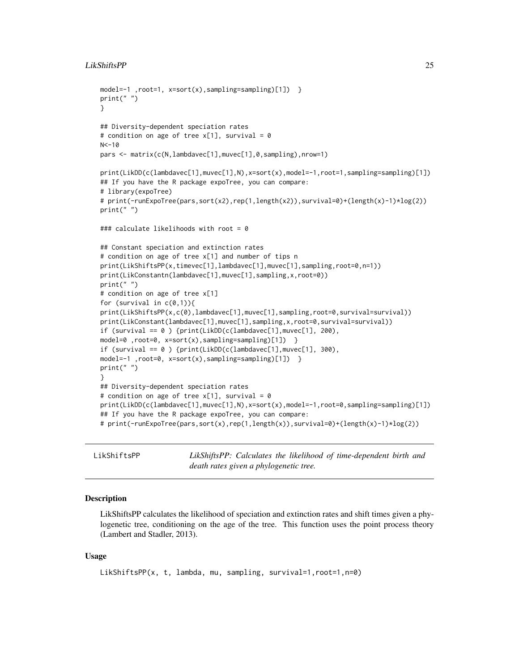#### <span id="page-24-0"></span>LikShiftsPP 25

```
model=-1 ,root=1, x=sort(x),sampling=sampling)[1]) }
print(" ")
}
## Diversity-dependent speciation rates
# condition on age of tree x[1], survival = 0
N < -10pars <- matrix(c(N,lambdavec[1],muvec[1],0,sampling),nrow=1)
print(LikDD(c(lambdavec[1],muvec[1],N),x=sort(x),model=-1,root=1,sampling=sampling)[1])
## If you have the R package expoTree, you can compare:
# library(expoTree)
# print(-runExpoTree(pars,sort(x2),rep(1,length(x2)),survival=0)+(length(x)-1)*log(2))
print(" ")
### calculate likelihoods with root = 0
## Constant speciation and extinction rates
# condition on age of tree x[1] and number of tips n
print(LikShiftsPP(x,timevec[1],lambdavec[1],muvec[1],sampling,root=0,n=1))
print(LikConstantn(lambdavec[1],muvec[1],sampling,x,root=0))
print("")# condition on age of tree x[1]
for (survival in c(\emptyset,1)){
print(LikShiftsPP(x,c(0),lambdavec[1],muvec[1],sampling,root=0,survival=survival))
print(LikConstant(lambdavec[1],muvec[1],sampling,x,root=0,survival=survival))
if (survival == 0) {print(LikDD(c(lambdavec[1],muvec[1], 200),
model=0 ,root=0, x=sort(x),sampling=sampling)[1]) }
if (survival == 0 ) {print(LikDD(c(lambdavec[1],muvec[1], 300),
model=-1 ,root=0, x=sort(x),sampling=sampling)[1]) }
print(" ")
}
## Diversity-dependent speciation rates
# condition on age of tree x[1], survival = 0
print(LikDD(c(lambdavec[1],muvec[1],N),x=sort(x),model=-1,root=0,sampling=sampling)[1])
## If you have the R package expoTree, you can compare:
# print(-runExpoTree(pars,sort(x),rep(1,length(x)),survival=0)+(length(x)-1)*log(2))
```
LikShiftsPP *LikShiftsPP: Calculates the likelihood of time-dependent birth and death rates given a phylogenetic tree.*

#### Description

LikShiftsPP calculates the likelihood of speciation and extinction rates and shift times given a phylogenetic tree, conditioning on the age of the tree. This function uses the point process theory (Lambert and Stadler, 2013).

#### Usage

```
LikShiftsPP(x, t, lambda, mu, sampling, survival=1, root=1, n=0)
```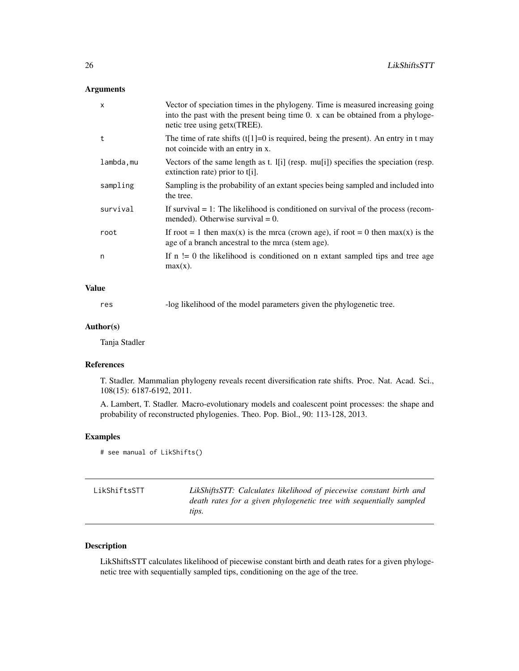#### <span id="page-25-0"></span>Arguments

| $\mathsf{x}$ | Vector of speciation times in the phylogeny. Time is measured increasing going<br>into the past with the present being time 0. x can be obtained from a phyloge-<br>netic tree using getx (TREE). |
|--------------|---------------------------------------------------------------------------------------------------------------------------------------------------------------------------------------------------|
| t            | The time of rate shifts $(t[1]=0$ is required, being the present). An entry in t may<br>not coincide with an entry in x.                                                                          |
| lambda,mu    | Vectors of the same length as t. I[i] (resp. mu[i]) specifies the speciation (resp.<br>extinction rate) prior to $t[i]$ .                                                                         |
| sampling     | Sampling is the probability of an extant species being sampled and included into<br>the tree.                                                                                                     |
| survival     | If survival $= 1$ : The likelihood is conditioned on survival of the process (recom-<br>mended). Otherwise survival $= 0$ .                                                                       |
| root         | If root = 1 then max(x) is the mrca (crown age), if root = 0 then max(x) is the<br>age of a branch ancestral to the mrca (stem age).                                                              |
| n            | If $n \geq 0$ the likelihood is conditioned on n extant sampled tips and tree age<br>$max(x)$ .                                                                                                   |

#### Value

res -log likelihood of the model parameters given the phylogenetic tree.

#### Author(s)

Tanja Stadler

#### References

T. Stadler. Mammalian phylogeny reveals recent diversification rate shifts. Proc. Nat. Acad. Sci., 108(15): 6187-6192, 2011.

A. Lambert, T. Stadler. Macro-evolutionary models and coalescent point processes: the shape and probability of reconstructed phylogenies. Theo. Pop. Biol., 90: 113-128, 2013.

#### Examples

# see manual of LikShifts()

| LikShiftsSTT | LikShiftsSTT: Calculates likelihood of piecewise constant birth and |
|--------------|---------------------------------------------------------------------|
|              | death rates for a given phylogenetic tree with sequentially sampled |
|              | tips.                                                               |

#### Description

LikShiftsSTT calculates likelihood of piecewise constant birth and death rates for a given phylogenetic tree with sequentially sampled tips, conditioning on the age of the tree.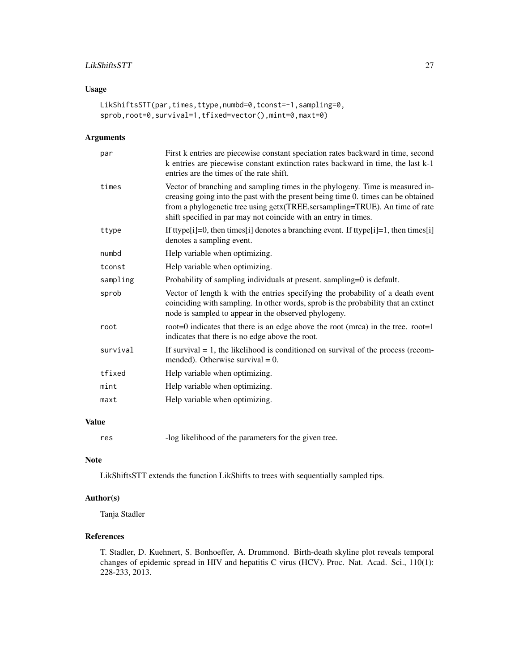#### LikShiftsSTT 27

#### Usage

```
LikShiftsSTT(par,times,ttype,numbd=0,tconst=-1,sampling=0,
sprob,root=0,survival=1,tfixed=vector(),mint=0,maxt=0)
```
#### Arguments

| par      | First k entries are piecewise constant speciation rates backward in time, second<br>k entries are piecewise constant extinction rates backward in time, the last k-1<br>entries are the times of the rate shift.                                                                                                       |
|----------|------------------------------------------------------------------------------------------------------------------------------------------------------------------------------------------------------------------------------------------------------------------------------------------------------------------------|
| times    | Vector of branching and sampling times in the phylogeny. Time is measured in-<br>creasing going into the past with the present being time 0. times can be obtained<br>from a phylogenetic tree using getx (TREE, sersampling=TRUE). An time of rate<br>shift specified in par may not coincide with an entry in times. |
| ttype    | If ttype[i]=0, then times[i] denotes a branching event. If ttype[i]=1, then times[i]<br>denotes a sampling event.                                                                                                                                                                                                      |
| numbd    | Help variable when optimizing.                                                                                                                                                                                                                                                                                         |
| tconst   | Help variable when optimizing.                                                                                                                                                                                                                                                                                         |
| sampling | Probability of sampling individuals at present. sampling=0 is default.                                                                                                                                                                                                                                                 |
| sprob    | Vector of length k with the entries specifying the probability of a death event<br>coinciding with sampling. In other words, sprob is the probability that an extinct<br>node is sampled to appear in the observed phylogeny.                                                                                          |
| root     | root=0 indicates that there is an edge above the root (mrca) in the tree. root=1<br>indicates that there is no edge above the root.                                                                                                                                                                                    |
| survival | If survival $= 1$ , the likelihood is conditioned on survival of the process (recom-<br>mended). Otherwise survival $= 0$ .                                                                                                                                                                                            |
| tfixed   | Help variable when optimizing.                                                                                                                                                                                                                                                                                         |
| mint     | Help variable when optimizing.                                                                                                                                                                                                                                                                                         |
| maxt     | Help variable when optimizing.                                                                                                                                                                                                                                                                                         |
|          |                                                                                                                                                                                                                                                                                                                        |

#### Value

res -log likelihood of the parameters for the given tree.

#### Note

LikShiftsSTT extends the function LikShifts to trees with sequentially sampled tips.

#### Author(s)

Tanja Stadler

### References

T. Stadler, D. Kuehnert, S. Bonhoeffer, A. Drummond. Birth-death skyline plot reveals temporal changes of epidemic spread in HIV and hepatitis C virus (HCV). Proc. Nat. Acad. Sci., 110(1): 228-233, 2013.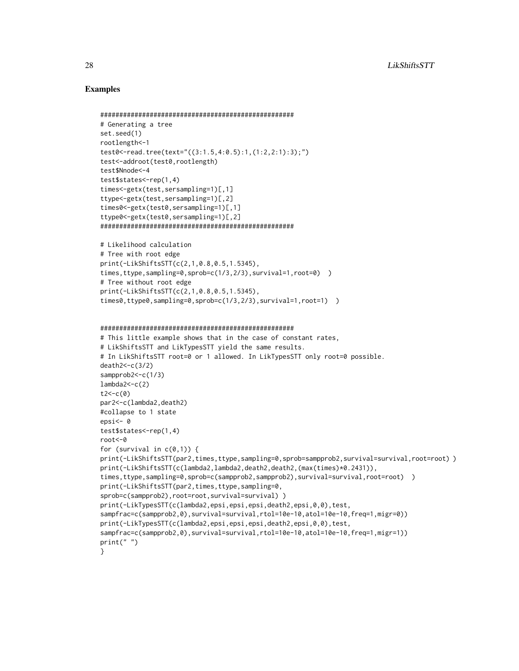#### Examples

}

```
###################################################
# Generating a tree
set.seed(1)
rootlength<-1
test0<-read.tree(text="((3:1.5,4:0.5):1,(1:2,2:1):3);")
test<-addroot(test0,rootlength)
test$Nnode<-4
test$states<-rep(1,4)
times<-getx(test,sersampling=1)[,1]
ttype<-getx(test,sersampling=1)[,2]
times0<-getx(test0,sersampling=1)[,1]
ttype0<-getx(test0,sersampling=1)[,2]
###################################################
# Likelihood calculation
# Tree with root edge
print(-LikShiftsSTT(c(2,1,0.8,0.5,1.5345),
times,ttype,sampling=0,sprob=c(1/3,2/3),survival=1,root=0) )
# Tree without root edge
print(-LikShiftsSTT(c(2,1,0.8,0.5,1.5345),
times0,ttype0,sampling=0,sprob=c(1/3,2/3),survival=1,root=1) )
###################################################
# This little example shows that in the case of constant rates,
# LikShiftsSTT and LikTypesSTT yield the same results.
# In LikShiftsSTT root=0 or 1 allowed. In LikTypesSTT only root=0 possible.
death2<-c(3/2)
sampprob2 <- c(1/3)
lambda2 < -c(2)t2 < -c(0)par2<-c(lambda2,death2)
#collapse to 1 state
epsi<- 0
test$states<-rep(1,4)
root<-0
for (survival in c(0,1)) {
print(-LikShiftsSTT(par2,times,ttype,sampling=0,sprob=sampprob2,survival=survival,root=root))
print(-LikShiftsSTT(c(lambda2,lambda2,death2,death2,(max(times)*0.2431)),
times,ttype,sampling=0,sprob=c(sampprob2,sampprob2),survival=survival,root=root) )
print(-LikShiftsSTT(par2,times,ttype,sampling=0,
sprob=c(sampprob2),root=root,survival=survival))
print(-LikTypesSTT(c(lambda2,epsi,epsi,epsi,death2,epsi,0,0),test,
sampfrac=c(sampprob2,0),survival=survival,rtol=10e-10,atol=10e-10,freq=1,migr=0))
print(-LikTypesSTT(c(lambda2,epsi,epsi,epsi,death2,epsi,0,0),test,
sampfrac=c(sampprob2,0),survival=survival,rtol=10e-10,atol=10e-10,freq=1,migr=1))
print(" ")
```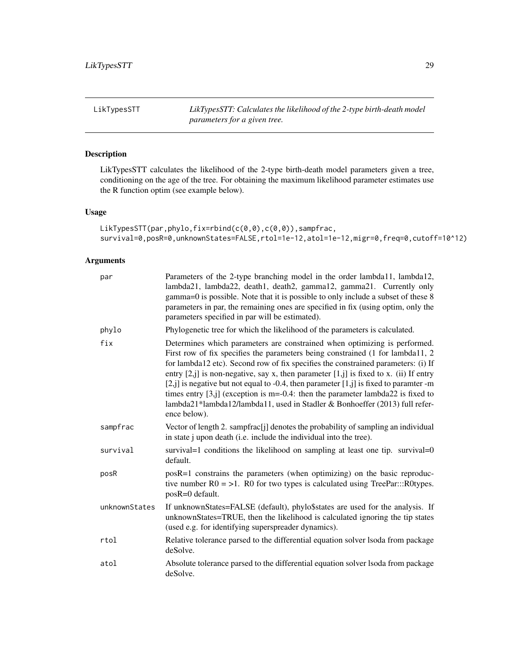<span id="page-28-0"></span>LikTypesSTT *LikTypesSTT: Calculates the likelihood of the 2-type birth-death model parameters for a given tree.*

#### Description

LikTypesSTT calculates the likelihood of the 2-type birth-death model parameters given a tree, conditioning on the age of the tree. For obtaining the maximum likelihood parameter estimates use the R function optim (see example below).

#### Usage

```
LikTypesSTT(par,phylo,fix=rbind(c(0,0),c(0,0)),sampfrac,
survival=0,posR=0,unknownStates=FALSE,rtol=1e-12,atol=1e-12,migr=0,freq=0,cutoff=10^12)
```

| par           | Parameters of the 2-type branching model in the order lambda11, lambda12,<br>lambda21, lambda22, death1, death2, gamma12, gamma21. Currently only<br>gamma=0 is possible. Note that it is possible to only include a subset of these 8<br>parameters in par, the remaining ones are specified in fix (using optim, only the<br>parameters specified in par will be estimated).                                                                                                                                                                                                                                                      |
|---------------|-------------------------------------------------------------------------------------------------------------------------------------------------------------------------------------------------------------------------------------------------------------------------------------------------------------------------------------------------------------------------------------------------------------------------------------------------------------------------------------------------------------------------------------------------------------------------------------------------------------------------------------|
| phylo         | Phylogenetic tree for which the likelihood of the parameters is calculated.                                                                                                                                                                                                                                                                                                                                                                                                                                                                                                                                                         |
| fix           | Determines which parameters are constrained when optimizing is performed.<br>First row of fix specifies the parameters being constrained (1 for lambda11, 2<br>for lambda12 etc). Second row of fix specifies the constrained parameters: (i) If<br>entry $[2, j]$ is non-negative, say x, then parameter $[1, j]$ is fixed to x. (ii) If entry<br>$[2, j]$ is negative but not equal to -0.4, then parameter $[1, j]$ is fixed to paramter -m<br>times entry $[3, j]$ (exception is m=-0.4: then the parameter lambda22 is fixed to<br>lambda21*lambda12/lambda11, used in Stadler & Bonhoeffer (2013) full refer-<br>ence below). |
| sampfrac      | Vector of length 2. sampfrac[j] denotes the probability of sampling an individual<br>in state j upon death (i.e. include the individual into the tree).                                                                                                                                                                                                                                                                                                                                                                                                                                                                             |
| survival      | survival=1 conditions the likelihood on sampling at least one tip. survival=0<br>default.                                                                                                                                                                                                                                                                                                                                                                                                                                                                                                                                           |
| posR          | $posR=1$ constrains the parameters (when optimizing) on the basic reproduc-<br>tive number $R0 = 1$ . R0 for two types is calculated using TreePar:::R0types.<br>posR=0 default.                                                                                                                                                                                                                                                                                                                                                                                                                                                    |
| unknownStates | If unknownStates=FALSE (default), phylo\$states are used for the analysis. If<br>unknownStates=TRUE, then the likelihood is calculated ignoring the tip states<br>(used e.g. for identifying superspreader dynamics).                                                                                                                                                                                                                                                                                                                                                                                                               |
| rtol          | Relative tolerance parsed to the differential equation solver lsoda from package<br>deSolve.                                                                                                                                                                                                                                                                                                                                                                                                                                                                                                                                        |
| atol          | Absolute tolerance parsed to the differential equation solver lsoda from package<br>deSolve.                                                                                                                                                                                                                                                                                                                                                                                                                                                                                                                                        |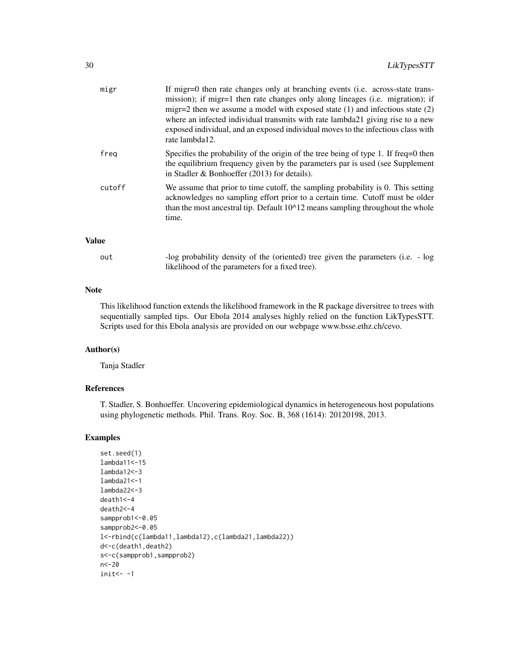| migr         | If migr=0 then rate changes only at branching events (i.e. across-state trans-<br>mission); if migr=1 then rate changes only along lineages (i.e. migration); if<br>migr=2 then we assume a model with exposed state $(1)$ and infectious state $(2)$<br>where an infected individual transmits with rate lambda21 giving rise to a new<br>exposed individual, and an exposed individual moves to the infectious class with<br>rate lambda12. |
|--------------|-----------------------------------------------------------------------------------------------------------------------------------------------------------------------------------------------------------------------------------------------------------------------------------------------------------------------------------------------------------------------------------------------------------------------------------------------|
| freg         | Specifies the probability of the origin of the tree being of type 1. If freq=0 then<br>the equilibrium frequency given by the parameters par is used (see Supplement<br>in Stadler $\&$ Bonhoeffer (2013) for details).                                                                                                                                                                                                                       |
| cutoff       | We assume that prior to time cutoff, the sampling probability is 0. This setting<br>acknowledges no sampling effort prior to a certain time. Cutoff must be older<br>than the most ancestral tip. Default $10^{\text{A}}12$ means sampling throughout the whole<br>time.                                                                                                                                                                      |
| <b>Value</b> |                                                                                                                                                                                                                                                                                                                                                                                                                                               |

| out | -log probability density of the (oriented) tree given the parameters (i.e. - log |
|-----|----------------------------------------------------------------------------------|
|     | likelihood of the parameters for a fixed tree).                                  |

#### Note

This likelihood function extends the likelihood framework in the R package diversitree to trees with sequentially sampled tips. Our Ebola 2014 analyses highly relied on the function LikTypesSTT. Scripts used for this Ebola analysis are provided on our webpage www.bsse.ethz.ch/cevo.

#### Author(s)

Tanja Stadler

#### References

T. Stadler, S. Bonhoeffer. Uncovering epidemiological dynamics in heterogeneous host populations using phylogenetic methods. Phil. Trans. Roy. Soc. B, 368 (1614): 20120198, 2013.

#### Examples

```
set.seed(1)
lambda11<-15
lambda12<-3
lambda21<-1
lambda22<-3
death1<-4
death2<-4
sampprob1 <- 0.05
sampprob2 <- 0.05
l<-rbind(c(lambda11,lambda12),c(lambda21,lambda22))
d<-c(death1,death2)
s<-c(sampprob1,sampprob2)
n<-20
init < -1
```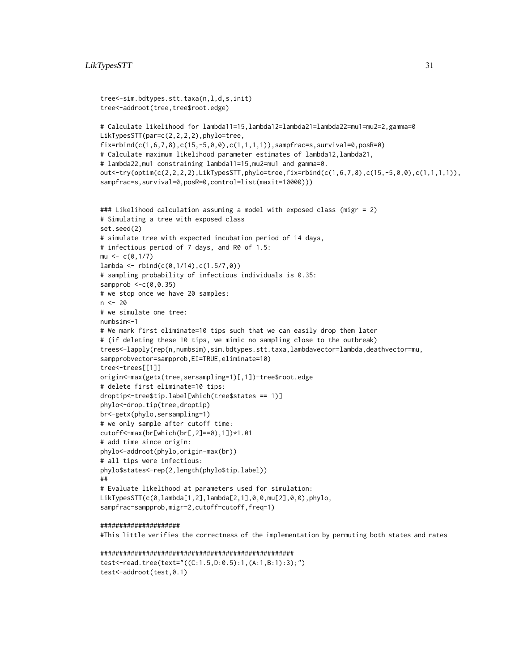```
tree<-sim.bdtypes.stt.taxa(n,l,d,s,init)
tree<-addroot(tree,tree$root.edge)
# Calculate likelihood for lambda11=15,lambda12=lambda21=lambda22=mu1=mu2=2,gamma=0
LikTypesSTT(par=c(2,2,2,2),phylo=tree,
fix=rbind(c(1,6,7,8),c(15,-5,0,0),c(1,1,1,1)), sampfrac=s, survival=0, posR=0)
# Calculate maximum likelihood parameter estimates of lambda12,lambda21,
# lambda22,mu1 constraining lambda11=15,mu2=mu1 and gamma=0.
out<-try(optim(c(2,2,2,2),LikTypesSTT,phylo=tree,fix=rbind(c(1,6,7,8),c(15,-5,0,0),c(1,1,1,1)),
sampfrac=s,survival=0,posR=0,control=list(maxit=10000)))
### Likelihood calculation assuming a model with exposed class (migr = 2)
# Simulating a tree with exposed class
set.seed(2)
# simulate tree with expected incubation period of 14 days,
# infectious period of 7 days, and R0 of 1.5:
mu < -c(0,1/7)lambda \leftarrow \text{rbind}(c(0, 1/14), c(1.5/7, 0))# sampling probability of infectious individuals is 0.35:
sampprob \leq c(0, 0.35)# we stop once we have 20 samples:
n < -20# we simulate one tree:
numbsim<-1
# We mark first eliminate=10 tips such that we can easily drop them later
# (if deleting these 10 tips, we mimic no sampling close to the outbreak)
trees<-lapply(rep(n,numbsim),sim.bdtypes.stt.taxa,lambdavector=lambda,deathvector=mu,
sampprobvector=sampprob, EI=TRUE, eliminate=10)
tree<-trees[[1]]
origin<-max(getx(tree,sersampling=1)[,1])+tree$root.edge
# delete first eliminate=10 tips:
droptip<-tree$tip.label[which(tree$states == 1)]
phylo<-drop.tip(tree,droptip)
br<-getx(phylo,sersampling=1)
# we only sample after cutoff time:
cutoff<-max(br[which(br[,2]==0),1])*1.01
# add time since origin:
phylo<-addroot(phylo,origin-max(br))
# all tips were infectious:
phylo$states<-rep(2,length(phylo$tip.label))
##
# Evaluate likelihood at parameters used for simulation:
LikTypesSTT(c(0,lambda[1,2],lambda[2,1],0,0,mu[2],0,0),phylo,
sampfrac=sampprob,migr=2,cutoff=cutoff,freq=1)
```
#### #####################

#This little verifies the correctness of the implementation by permuting both states and rates

```
###################################################
test<-read.tree(text="((C:1.5,D:0.5):1,(A:1,B:1):3);")
test<-addroot(test,0.1)
```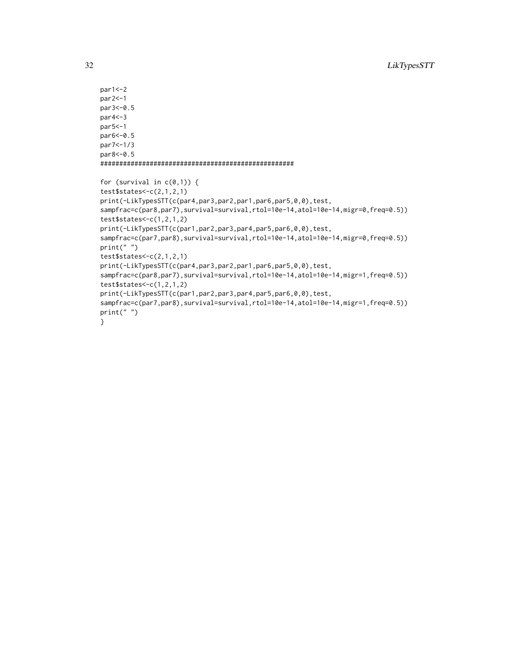```
par1<-2
par2<-1
par3<-0.5
par4<-3
par5<-1
par6<-0.5
par7<-1/3
par8<-0.5
###################################################
for (survival in c(\emptyset,1)) {
test$states<-c(2,1,2,1)
print(-LikTypesSTT(c(par4,par3,par2,par1,par6,par5,0,0),test,
sampfrac=c(par8,par7),survival=survival,rtol=10e-14,atol=10e-14,migr=0,freq=0.5))
test$states<-c(1,2,1,2)
print(-LikTypesSTT(c(par1,par2,par3,par4,par5,par6,0,0),test,
sampfrac=c(par7,par8),survival=survival,rtol=10e-14,atol=10e-14,migr=0,freq=0.5))
print(" ")
test$states<-c(2,1,2,1)
print(-LikTypesSTT(c(par4,par3,par2,par1,par6,par5,0,0),test,
sampfrac=c(par8,par7),survival=survival,rtol=10e-14,atol=10e-14,migr=1,freq=0.5))
test$states < -c(1,2,1,2)print(-LikTypesSTT(c(par1,par2,par3,par4,par5,par6,0,0),test,
sampfrac=c(par7,par8),survival=survival,rtol=10e-14,atol=10e-14,migr=1,freq=0.5))
print(" ")
}
```